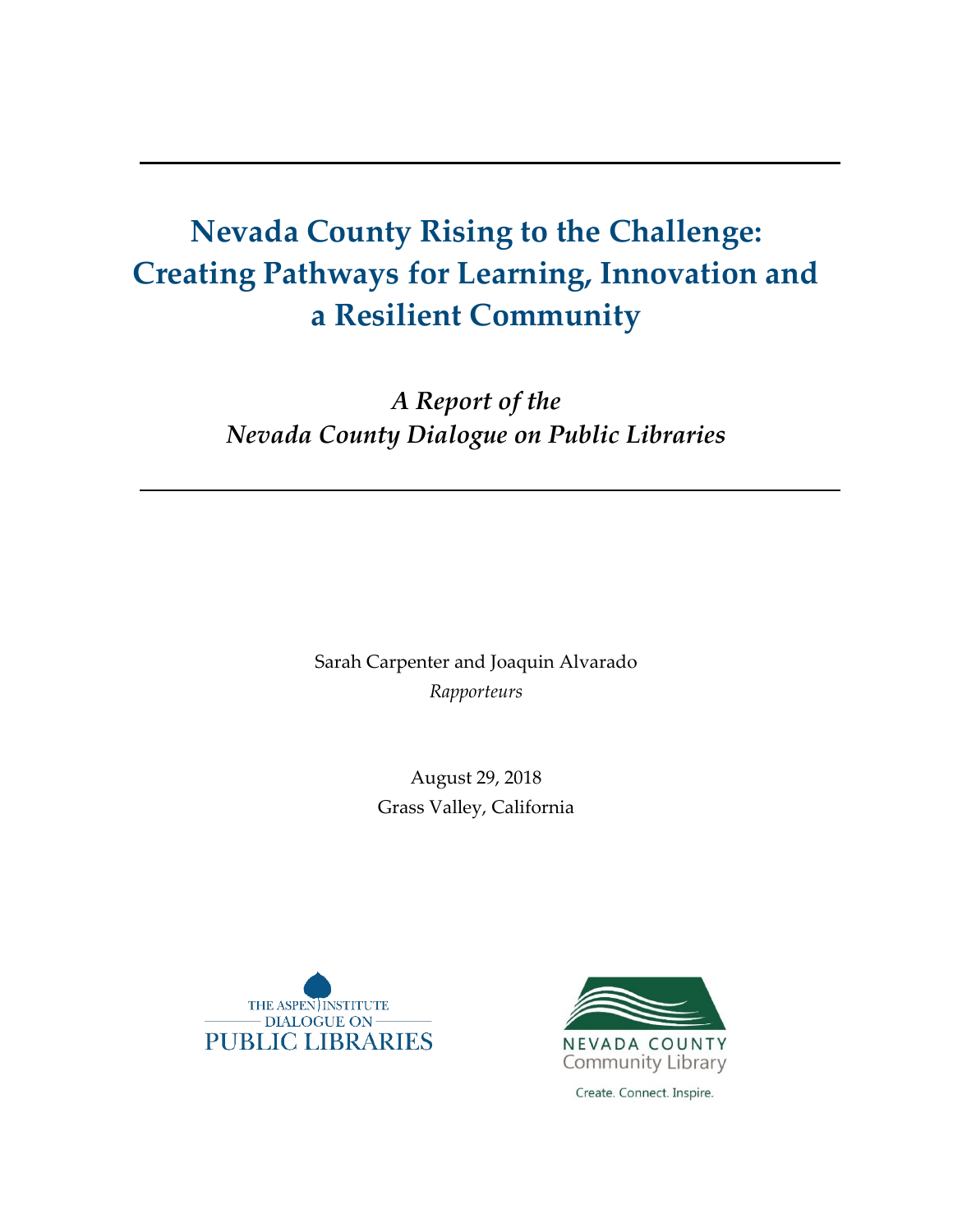# **Nevada County Rising to the Challenge: Creating Pathways for Learning, Innovation and a Resilient Community**

*A Report of the Nevada County Dialogue on Public Libraries*

> Sarah Carpenter and Joaquin Alvarado *Rapporteurs*

> > August 29, 2018 Grass Valley, California





Create. Connect. Inspire.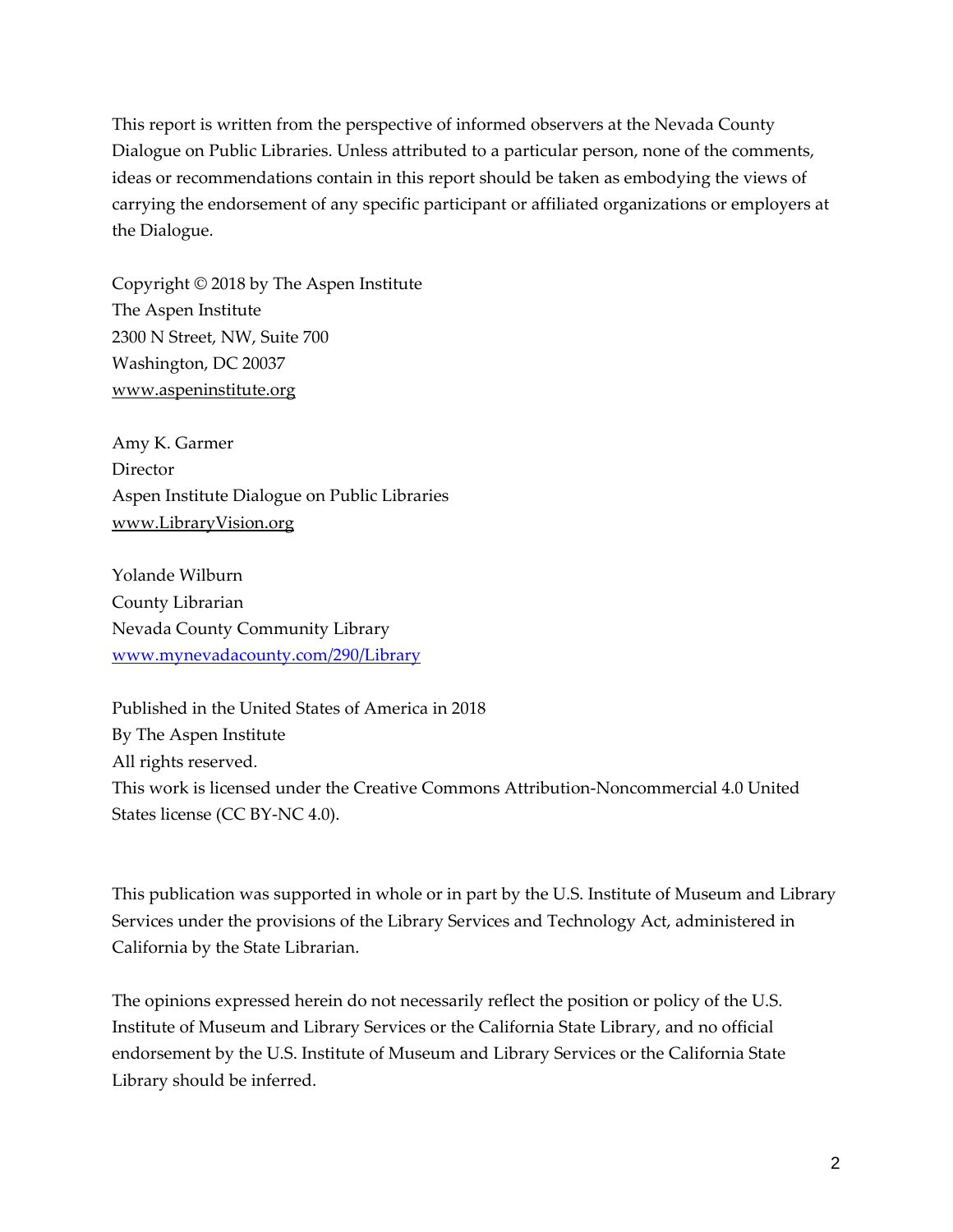This report is written from the perspective of informed observers at the Nevada County Dialogue on Public Libraries. Unless attributed to a particular person, none of the comments, ideas or recommendations contain in this report should be taken as embodying the views of carrying the endorsement of any specific participant or affiliated organizations or employers at the Dialogue.

Copyright © 2018 by The Aspen Institute The Aspen Institute 2300 N Street, NW, Suite 700 Washington, DC 20037 [www.aspeninstitute.org](http://www.aspeninstitute.org/)

Amy K. Garmer **Director** Aspen Institute Dialogue on Public Libraries [www.LibraryVision.org](http://www.libraryvision.org/)

Yolande Wilburn County Librarian Nevada County Community Library [www.mynevadacounty.com/290/Library](http://www.mynevadacounty.com/290/Library) 

Published in the United States of America in 2018 By The Aspen Institute All rights reserved. This work is licensed under the Creative Commons Attribution-Noncommercial 4.0 United States license (CC BY-NC 4.0).

This publication was supported in whole or in part by the U.S. Institute of Museum and Library Services under the provisions of the Library Services and Technology Act, administered in California by the State Librarian.

The opinions expressed herein do not necessarily reflect the position or policy of the U.S. Institute of Museum and Library Services or the California State Library, and no official endorsement by the U.S. Institute of Museum and Library Services or the California State Library should be inferred.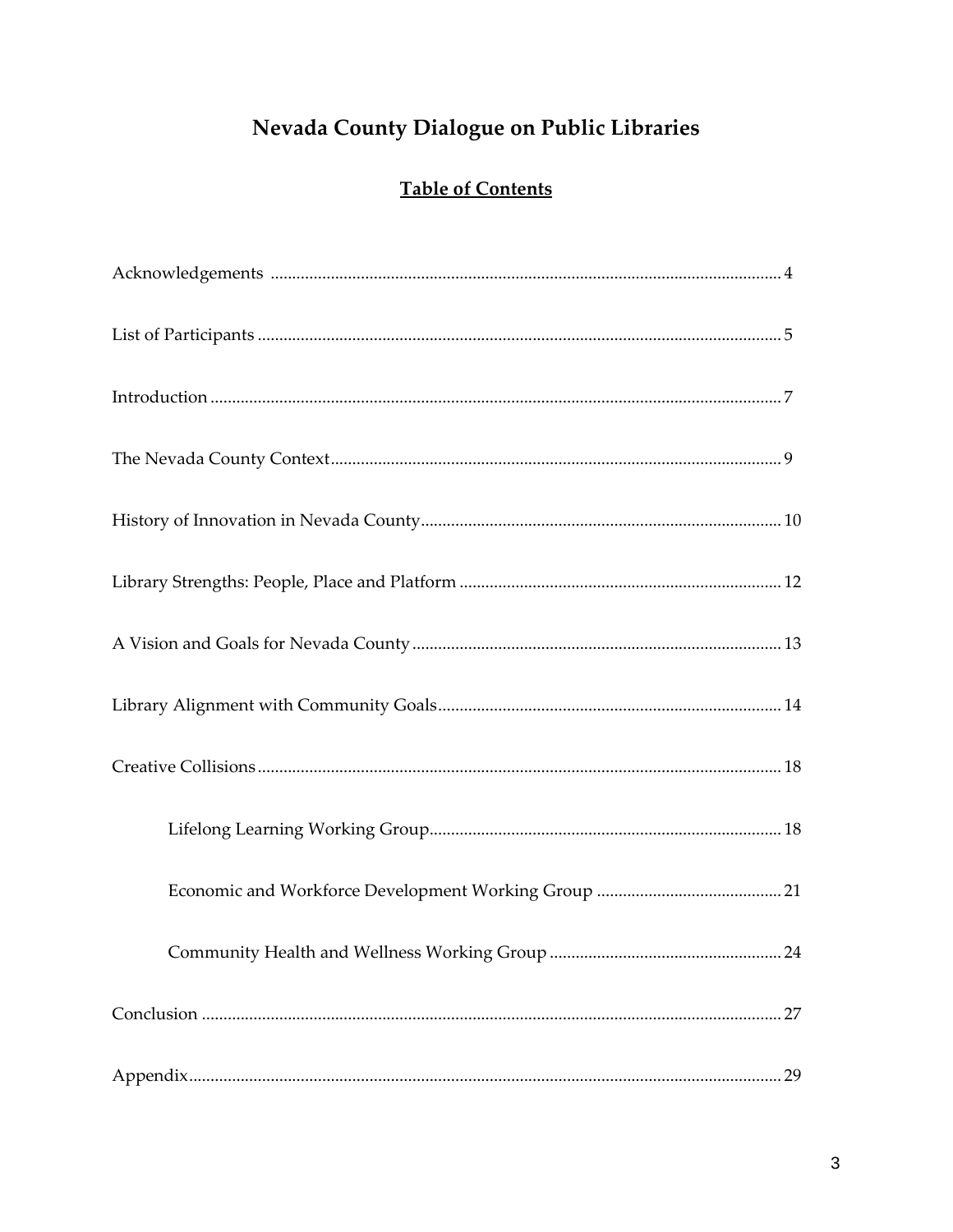## Nevada County Dialogue on Public Libraries

## **Table of Contents**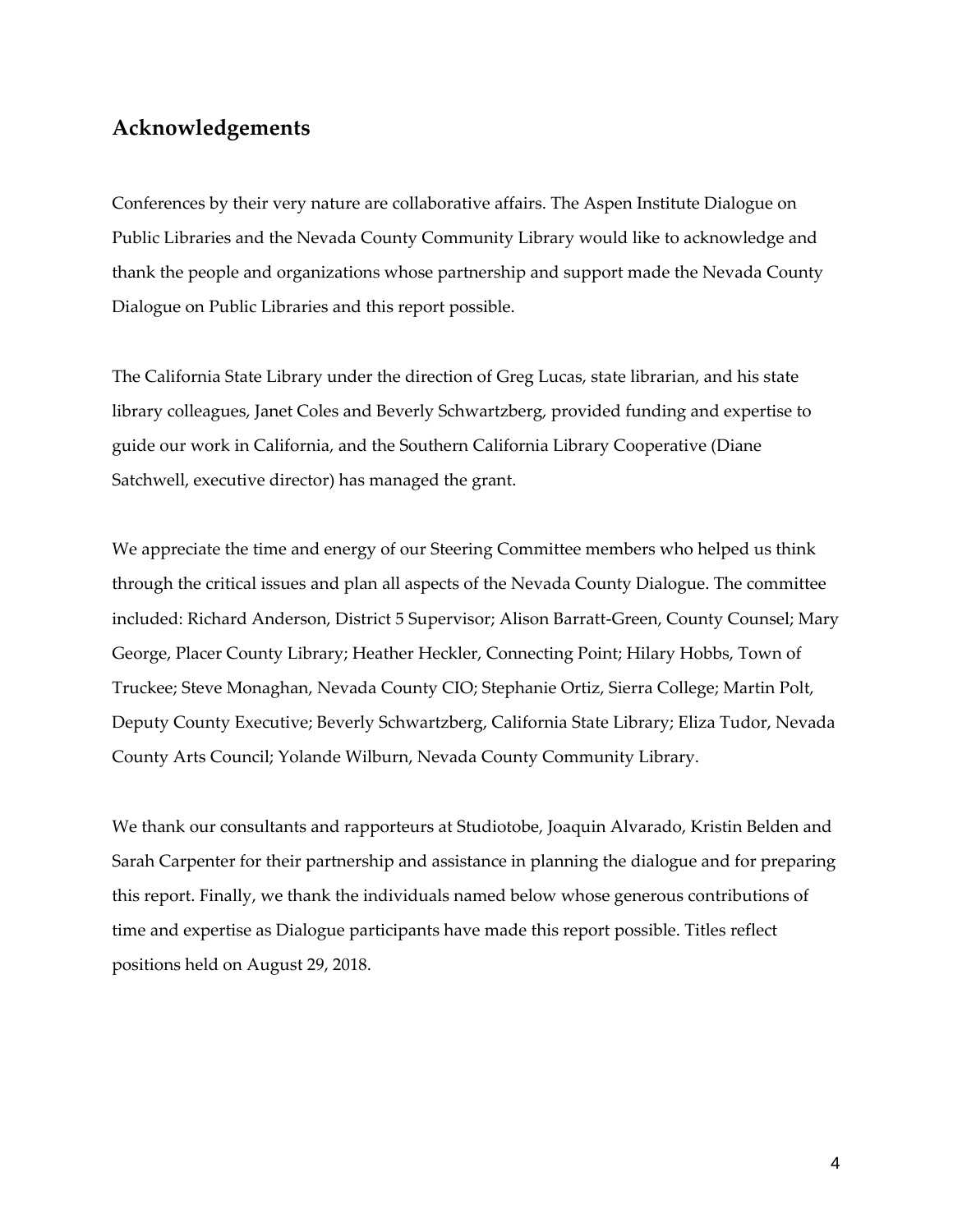#### **Acknowledgements**

Conferences by their very nature are collaborative affairs. The Aspen Institute Dialogue on Public Libraries and the Nevada County Community Library would like to acknowledge and thank the people and organizations whose partnership and support made the Nevada County Dialogue on Public Libraries and this report possible.

The California State Library under the direction of Greg Lucas, state librarian, and his state library colleagues, Janet Coles and Beverly Schwartzberg, provided funding and expertise to guide our work in California, and the Southern California Library Cooperative (Diane Satchwell, executive director) has managed the grant.

We appreciate the time and energy of our Steering Committee members who helped us think through the critical issues and plan all aspects of the Nevada County Dialogue. The committee included: Richard Anderson, District 5 Supervisor; Alison Barratt-Green, County Counsel; Mary George, Placer County Library; Heather Heckler, Connecting Point; Hilary Hobbs, Town of Truckee; Steve Monaghan, Nevada County CIO; Stephanie Ortiz, Sierra College; Martin Polt, Deputy County Executive; Beverly Schwartzberg, California State Library; Eliza Tudor, Nevada County Arts Council; Yolande Wilburn, Nevada County Community Library.

We thank our consultants and rapporteurs at Studiotobe, Joaquin Alvarado, Kristin Belden and Sarah Carpenter for their partnership and assistance in planning the dialogue and for preparing this report. Finally, we thank the individuals named below whose generous contributions of time and expertise as Dialogue participants have made this report possible. Titles reflect positions held on August 29, 2018.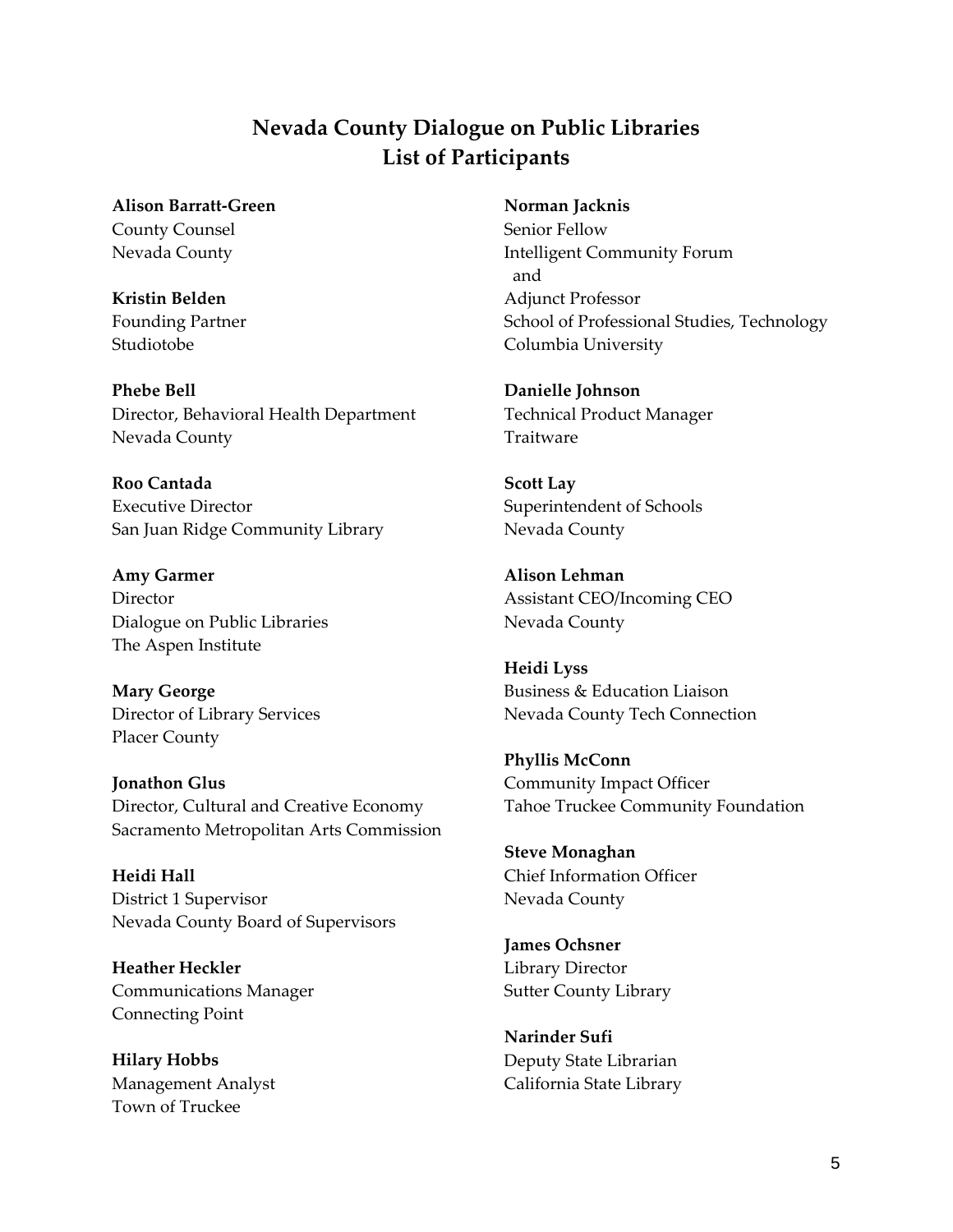### **Nevada County Dialogue on Public Libraries List of Participants**

**Alison Barratt-Green** County Counsel Nevada County

**Kristin Belden** Founding Partner Studiotobe

**Phebe Bell** Director, Behavioral Health Department Nevada County

**Roo Cantada** Executive Director San Juan Ridge Community Library

**Amy Garmer Director** Dialogue on Public Libraries The Aspen Institute

**Mary George** Director of Library Services Placer County

**Jonathon Glus** Director, Cultural and Creative Economy Sacramento Metropolitan Arts Commission

**Heidi Hall** District 1 Supervisor Nevada County Board of Supervisors

**Heather Heckler** Communications Manager Connecting Point

**Hilary Hobbs** Management Analyst Town of Truckee

**Norman Jacknis**

Senior Fellow Intelligent Community Forum and Adjunct Professor School of Professional Studies, Technology Columbia University

**Danielle Johnson** Technical Product Manager Traitware

**Scott Lay** Superintendent of Schools Nevada County

**Alison Lehman** Assistant CEO/Incoming CEO Nevada County

**Heidi Lyss** Business & Education Liaison Nevada County Tech Connection

**Phyllis McConn**  Community Impact Officer Tahoe Truckee Community Foundation

**Steve Monaghan** Chief Information Officer Nevada County

**James Ochsner**  Library Director Sutter County Library

**Narinder Sufi** Deputy State Librarian California State Library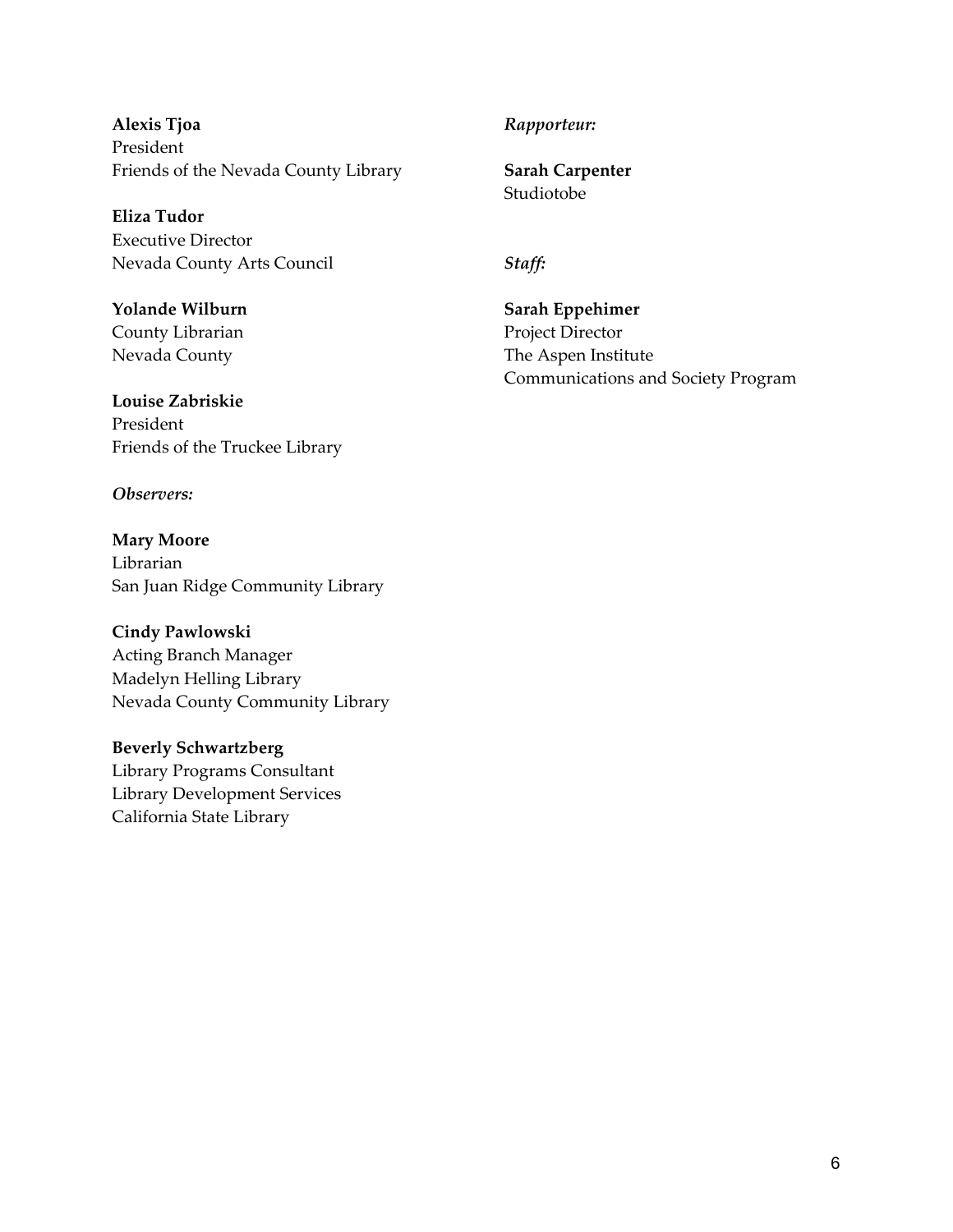**Alexis Tjoa** President Friends of the Nevada County Library

**Eliza Tudor** Executive Director Nevada County Arts Council

**Yolande Wilburn** County Librarian Nevada County

**Louise Zabriskie** President Friends of the Truckee Library

*Observers:*

**Mary Moore** Librarian San Juan Ridge Community Library

**Cindy Pawlowski** Acting Branch Manager Madelyn Helling Library Nevada County Community Library

**Beverly Schwartzberg** Library Programs Consultant Library Development Services California State Library

#### *Rapporteur:*

**Sarah Carpenter** Studiotobe

*Staff:*

**Sarah Eppehimer** Project Director The Aspen Institute Communications and Society Program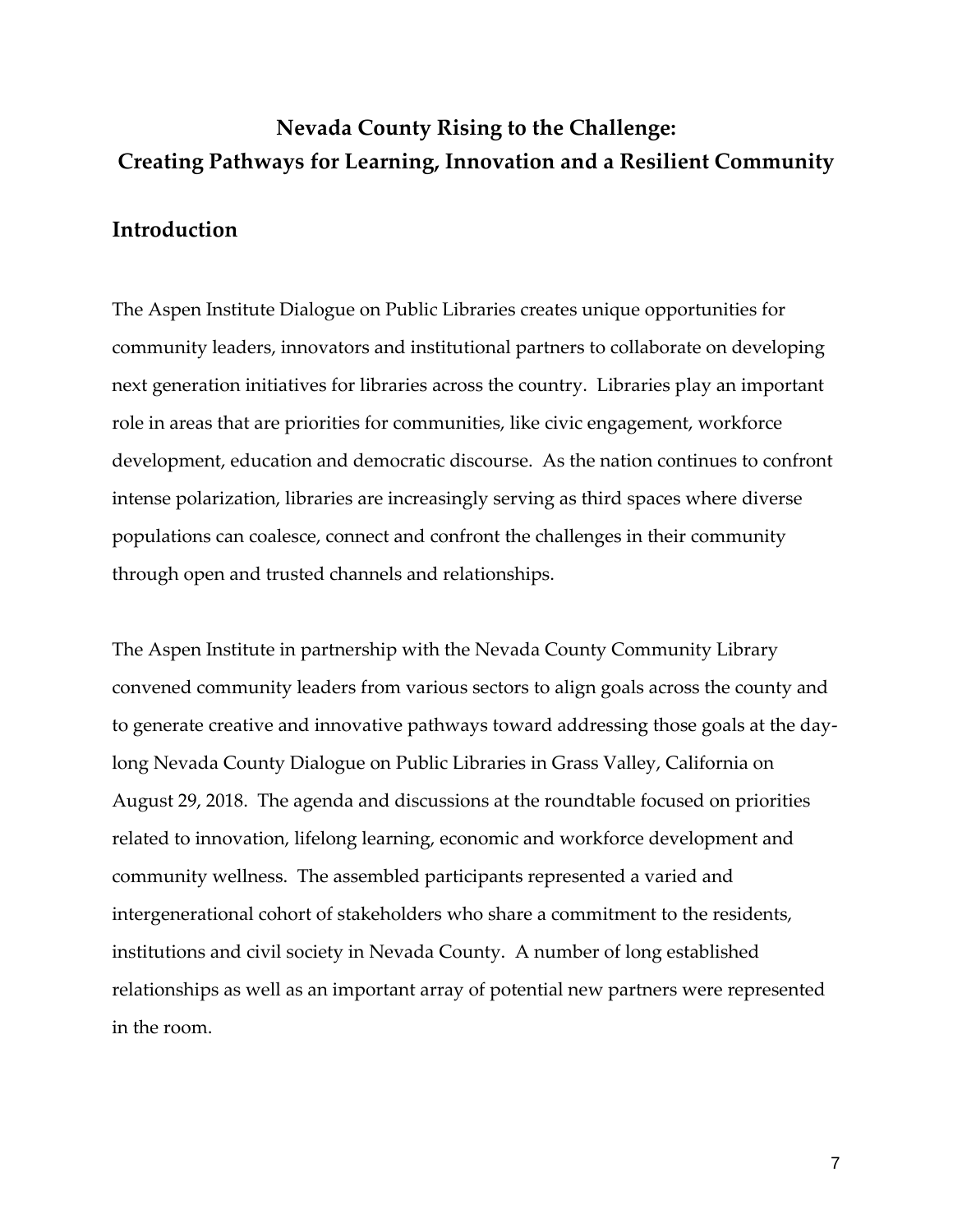## **Nevada County Rising to the Challenge: Creating Pathways for Learning, Innovation and a Resilient Community**

#### **Introduction**

The Aspen Institute Dialogue on Public Libraries creates unique opportunities for community leaders, innovators and institutional partners to collaborate on developing next generation initiatives for libraries across the country. Libraries play an important role in areas that are priorities for communities, like civic engagement, workforce development, education and democratic discourse. As the nation continues to confront intense polarization, libraries are increasingly serving as third spaces where diverse populations can coalesce, connect and confront the challenges in their community through open and trusted channels and relationships.

The Aspen Institute in partnership with the Nevada County Community Library convened community leaders from various sectors to align goals across the county and to generate creative and innovative pathways toward addressing those goals at the daylong Nevada County Dialogue on Public Libraries in Grass Valley, California on August 29, 2018. The agenda and discussions at the roundtable focused on priorities related to innovation, lifelong learning, economic and workforce development and community wellness. The assembled participants represented a varied and intergenerational cohort of stakeholders who share a commitment to the residents, institutions and civil society in Nevada County. A number of long established relationships as well as an important array of potential new partners were represented in the room.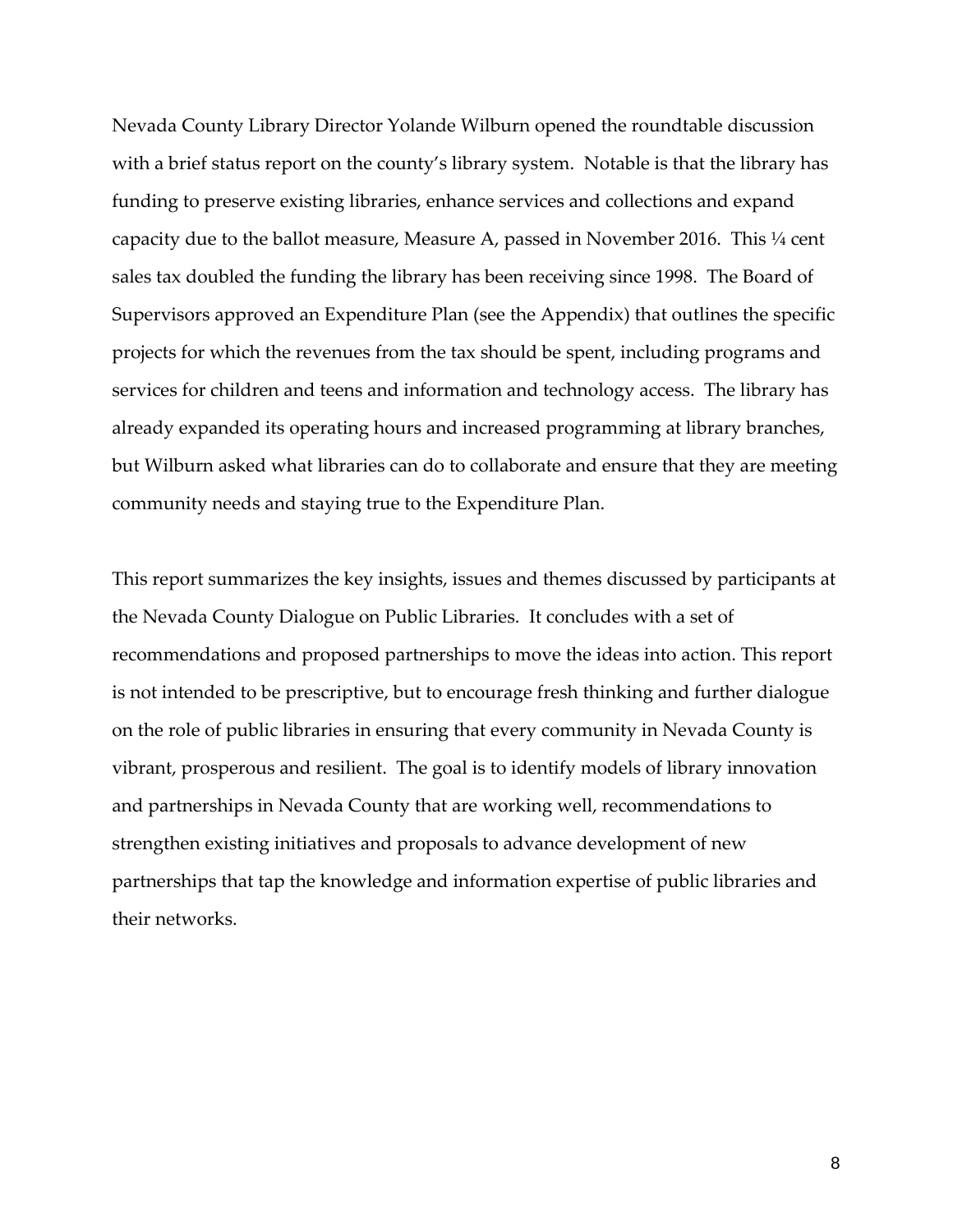Nevada County Library Director Yolande Wilburn opened the roundtable discussion with a brief status report on the county's library system. Notable is that the library has funding to preserve existing libraries, enhance services and collections and expand capacity due to the ballot measure, Measure A, passed in November 2016. This  $\frac{1}{4}$  cent sales tax doubled the funding the library has been receiving since 1998. The Board of Supervisors approved an Expenditure Plan (see the Appendix) that outlines the specific projects for which the revenues from the tax should be spent, including programs and services for children and teens and information and technology access. The library has already expanded its operating hours and increased programming at library branches, but Wilburn asked what libraries can do to collaborate and ensure that they are meeting community needs and staying true to the Expenditure Plan.

This report summarizes the key insights, issues and themes discussed by participants at the Nevada County Dialogue on Public Libraries. It concludes with a set of recommendations and proposed partnerships to move the ideas into action. This report is not intended to be prescriptive, but to encourage fresh thinking and further dialogue on the role of public libraries in ensuring that every community in Nevada County is vibrant, prosperous and resilient. The goal is to identify models of library innovation and partnerships in Nevada County that are working well, recommendations to strengthen existing initiatives and proposals to advance development of new partnerships that tap the knowledge and information expertise of public libraries and their networks.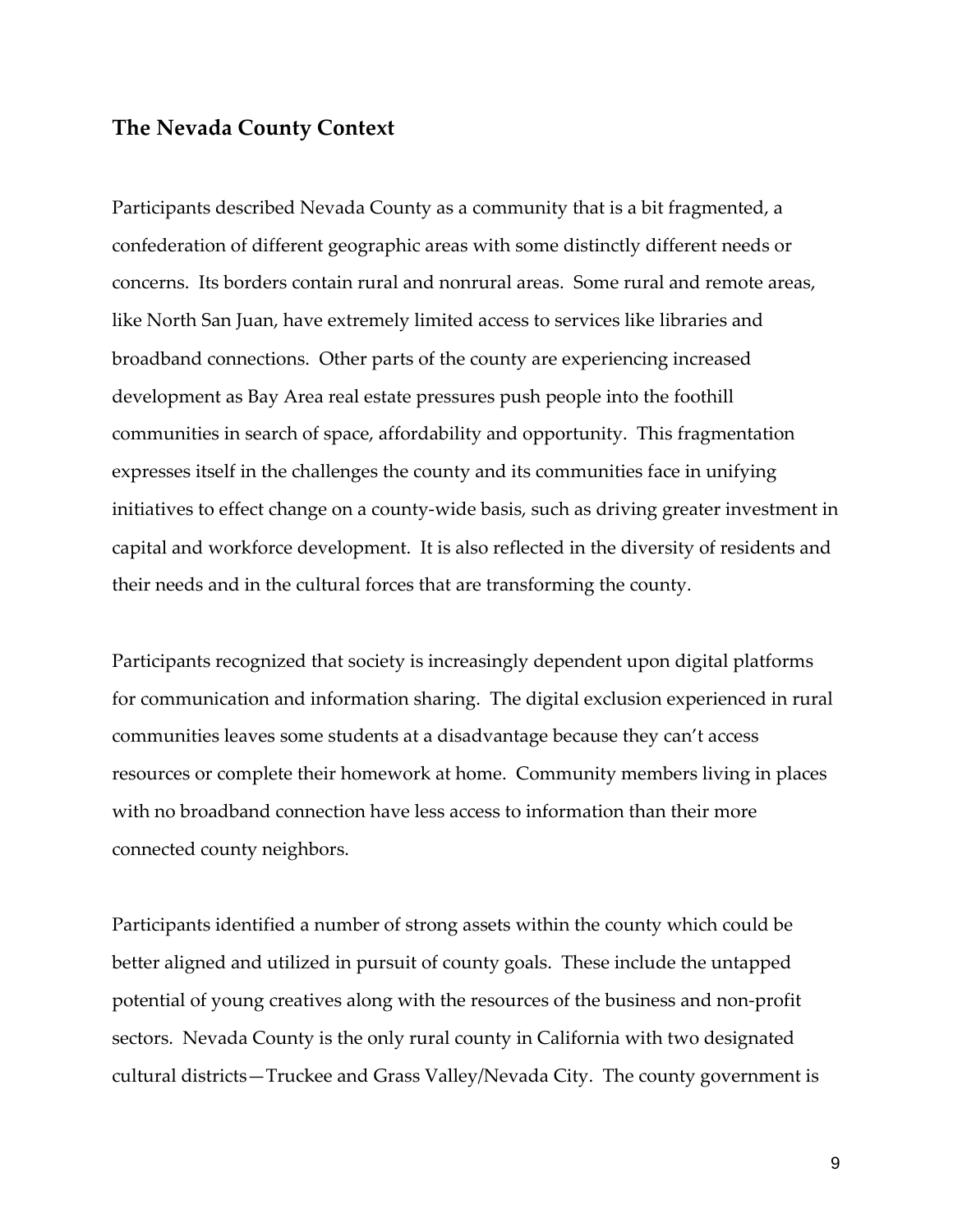#### **The Nevada County Context**

Participants described Nevada County as a community that is a bit fragmented, a confederation of different geographic areas with some distinctly different needs or concerns. Its borders contain rural and nonrural areas. Some rural and remote areas, like North San Juan, have extremely limited access to services like libraries and broadband connections. Other parts of the county are experiencing increased development as Bay Area real estate pressures push people into the foothill communities in search of space, affordability and opportunity. This fragmentation expresses itself in the challenges the county and its communities face in unifying initiatives to effect change on a county-wide basis, such as driving greater investment in capital and workforce development. It is also reflected in the diversity of residents and their needs and in the cultural forces that are transforming the county.

Participants recognized that society is increasingly dependent upon digital platforms for communication and information sharing. The digital exclusion experienced in rural communities leaves some students at a disadvantage because they can't access resources or complete their homework at home. Community members living in places with no broadband connection have less access to information than their more connected county neighbors.

Participants identified a number of strong assets within the county which could be better aligned and utilized in pursuit of county goals. These include the untapped potential of young creatives along with the resources of the business and non-profit sectors. Nevada County is the only rural county in California with two designated cultural districts—Truckee and Grass Valley/Nevada City. The county government is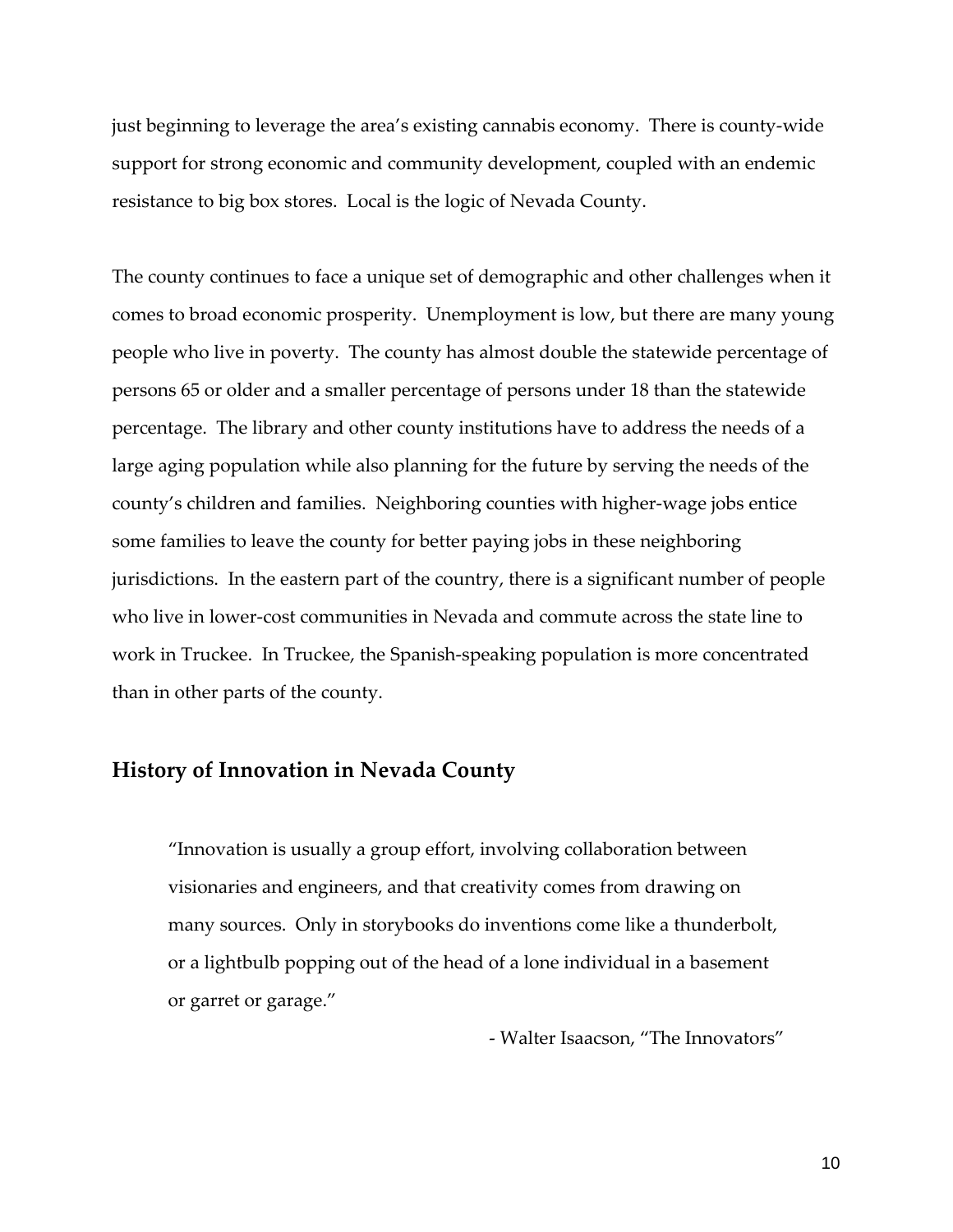just beginning to leverage the area's existing cannabis economy. There is county-wide support for strong economic and community development, coupled with an endemic resistance to big box stores. Local is the logic of Nevada County.

The county continues to face a unique set of demographic and other challenges when it comes to broad economic prosperity. Unemployment is low, but there are many young people who live in poverty. The county has almost double the statewide percentage of persons 65 or older and a smaller percentage of persons under 18 than the statewide percentage. The library and other county institutions have to address the needs of a large aging population while also planning for the future by serving the needs of the county's children and families. Neighboring counties with higher-wage jobs entice some families to leave the county for better paying jobs in these neighboring jurisdictions. In the eastern part of the country, there is a significant number of people who live in lower-cost communities in Nevada and commute across the state line to work in Truckee. In Truckee, the Spanish-speaking population is more concentrated than in other parts of the county.

#### **History of Innovation in Nevada County**

"Innovation is usually a group effort, involving collaboration between visionaries and engineers, and that creativity comes from drawing on many sources. Only in storybooks do inventions come like a thunderbolt, or a lightbulb popping out of the head of a lone individual in a basement or garret or garage."

- Walter Isaacson, "The Innovators"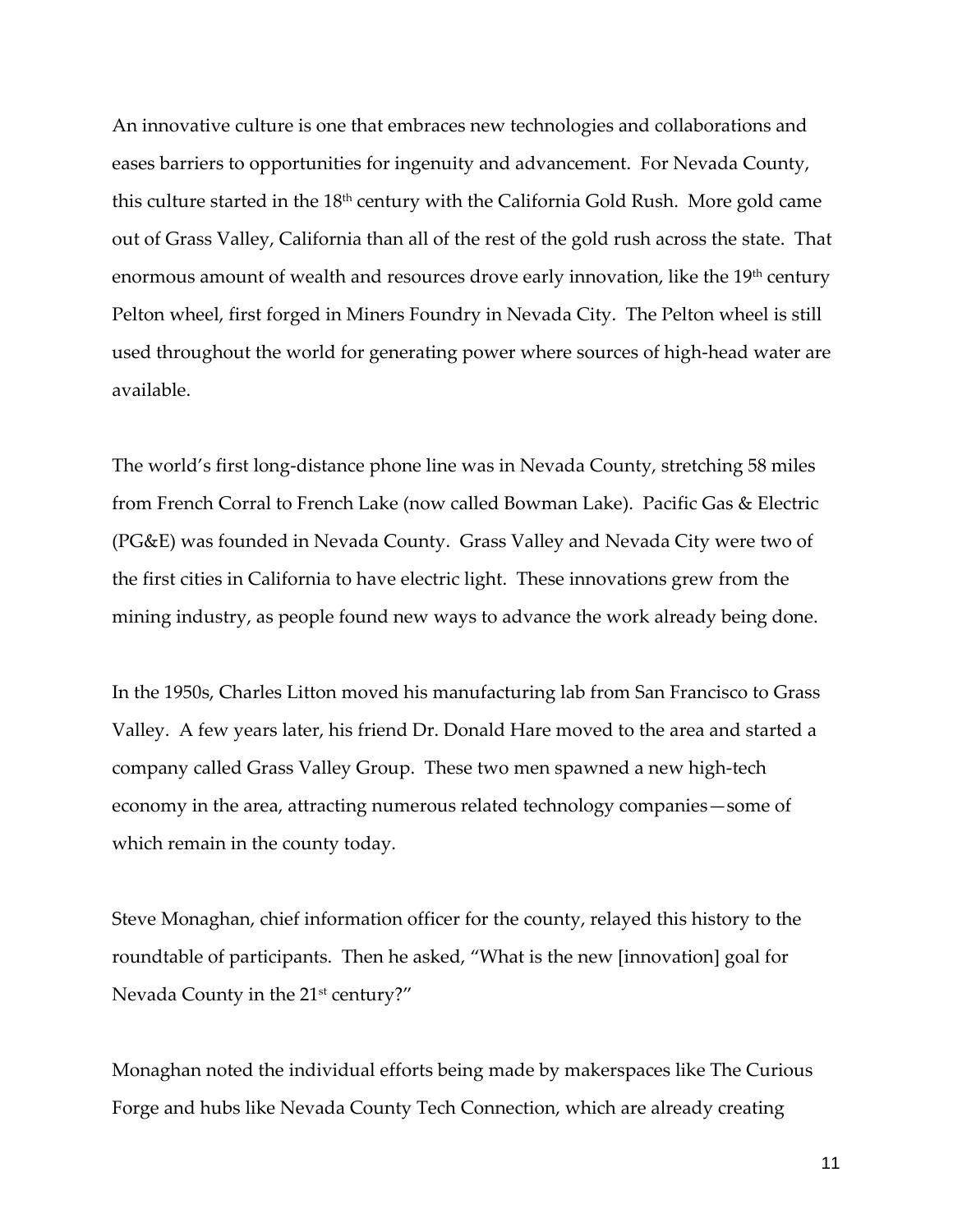An innovative culture is one that embraces new technologies and collaborations and eases barriers to opportunities for ingenuity and advancement. For Nevada County, this culture started in the  $18<sup>th</sup>$  century with the California Gold Rush. More gold came out of Grass Valley, California than all of the rest of the gold rush across the state. That enormous amount of wealth and resources drove early innovation, like the 19<sup>th</sup> century Pelton wheel, first forged in Miners Foundry in Nevada City. The Pelton wheel is still used throughout the world for generating power where sources of high-head water are available.

The world's first long-distance phone line was in Nevada County, stretching 58 miles from French Corral to French Lake (now called Bowman Lake). Pacific Gas & Electric (PG&E) was founded in Nevada County. Grass Valley and Nevada City were two of the first cities in California to have electric light. These innovations grew from the mining industry, as people found new ways to advance the work already being done.

In the 1950s, Charles Litton moved his manufacturing lab from San Francisco to Grass Valley. A few years later, his friend Dr. Donald Hare moved to the area and started a company called Grass Valley Group. These two men spawned a new high-tech economy in the area, attracting numerous related technology companies—some of which remain in the county today.

Steve Monaghan, chief information officer for the county, relayed this history to the roundtable of participants. Then he asked, "What is the new [innovation] goal for Nevada County in the 21<sup>st</sup> century?"

Monaghan noted the individual efforts being made by makerspaces like The Curious Forge and hubs like Nevada County Tech Connection, which are already creating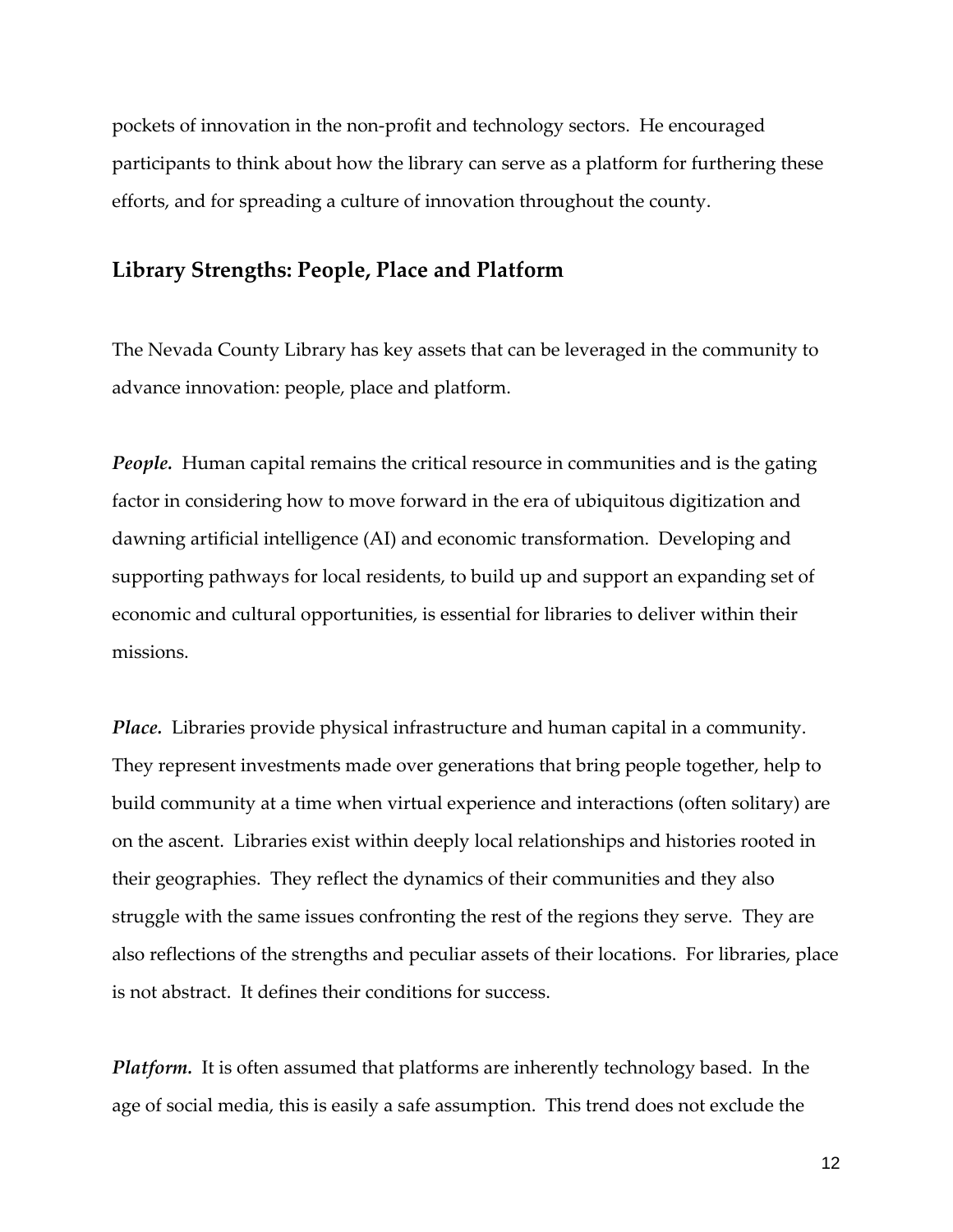pockets of innovation in the non-profit and technology sectors. He encouraged participants to think about how the library can serve as a platform for furthering these efforts, and for spreading a culture of innovation throughout the county.

#### **Library Strengths: People, Place and Platform**

The Nevada County Library has key assets that can be leveraged in the community to advance innovation: people, place and platform.

*People*. Human capital remains the critical resource in communities and is the gating factor in considering how to move forward in the era of ubiquitous digitization and dawning artificial intelligence (AI) and economic transformation. Developing and supporting pathways for local residents, to build up and support an expanding set of economic and cultural opportunities, is essential for libraries to deliver within their missions.

*Place.* Libraries provide physical infrastructure and human capital in a community. They represent investments made over generations that bring people together, help to build community at a time when virtual experience and interactions (often solitary) are on the ascent. Libraries exist within deeply local relationships and histories rooted in their geographies. They reflect the dynamics of their communities and they also struggle with the same issues confronting the rest of the regions they serve. They are also reflections of the strengths and peculiar assets of their locations. For libraries, place is not abstract. It defines their conditions for success.

*Platform.* It is often assumed that platforms are inherently technology based. In the age of social media, this is easily a safe assumption. This trend does not exclude the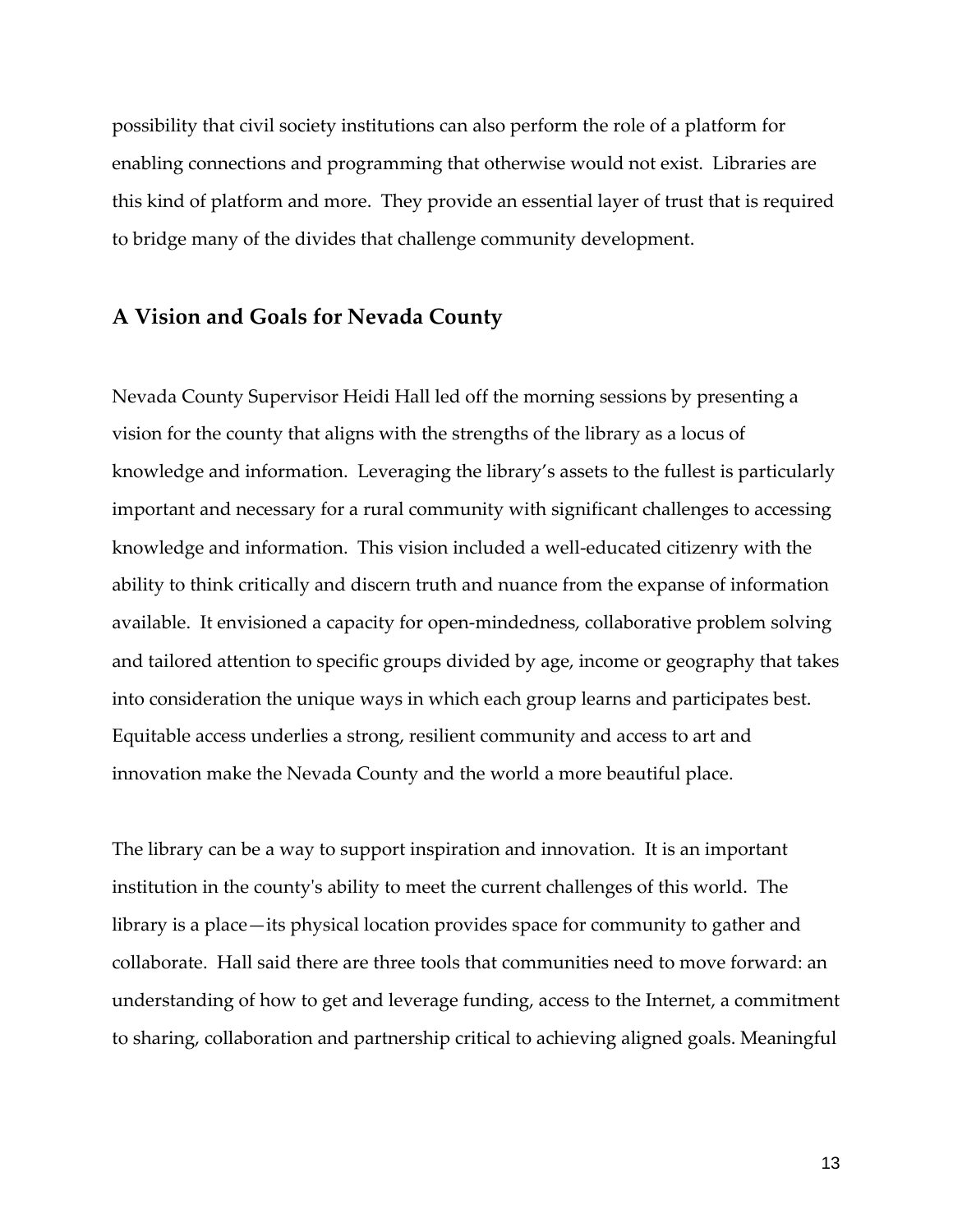possibility that civil society institutions can also perform the role of a platform for enabling connections and programming that otherwise would not exist. Libraries are this kind of platform and more. They provide an essential layer of trust that is required to bridge many of the divides that challenge community development.

#### **A Vision and Goals for Nevada County**

Nevada County Supervisor Heidi Hall led off the morning sessions by presenting a vision for the county that aligns with the strengths of the library as a locus of knowledge and information. Leveraging the library's assets to the fullest is particularly important and necessary for a rural community with significant challenges to accessing knowledge and information. This vision included a well-educated citizenry with the ability to think critically and discern truth and nuance from the expanse of information available. It envisioned a capacity for open-mindedness, collaborative problem solving and tailored attention to specific groups divided by age, income or geography that takes into consideration the unique ways in which each group learns and participates best. Equitable access underlies a strong, resilient community and access to art and innovation make the Nevada County and the world a more beautiful place.

The library can be a way to support inspiration and innovation. It is an important institution in the county's ability to meet the current challenges of this world. The library is a place—its physical location provides space for community to gather and collaborate. Hall said there are three tools that communities need to move forward: an understanding of how to get and leverage funding, access to the Internet, a commitment to sharing, collaboration and partnership critical to achieving aligned goals. Meaningful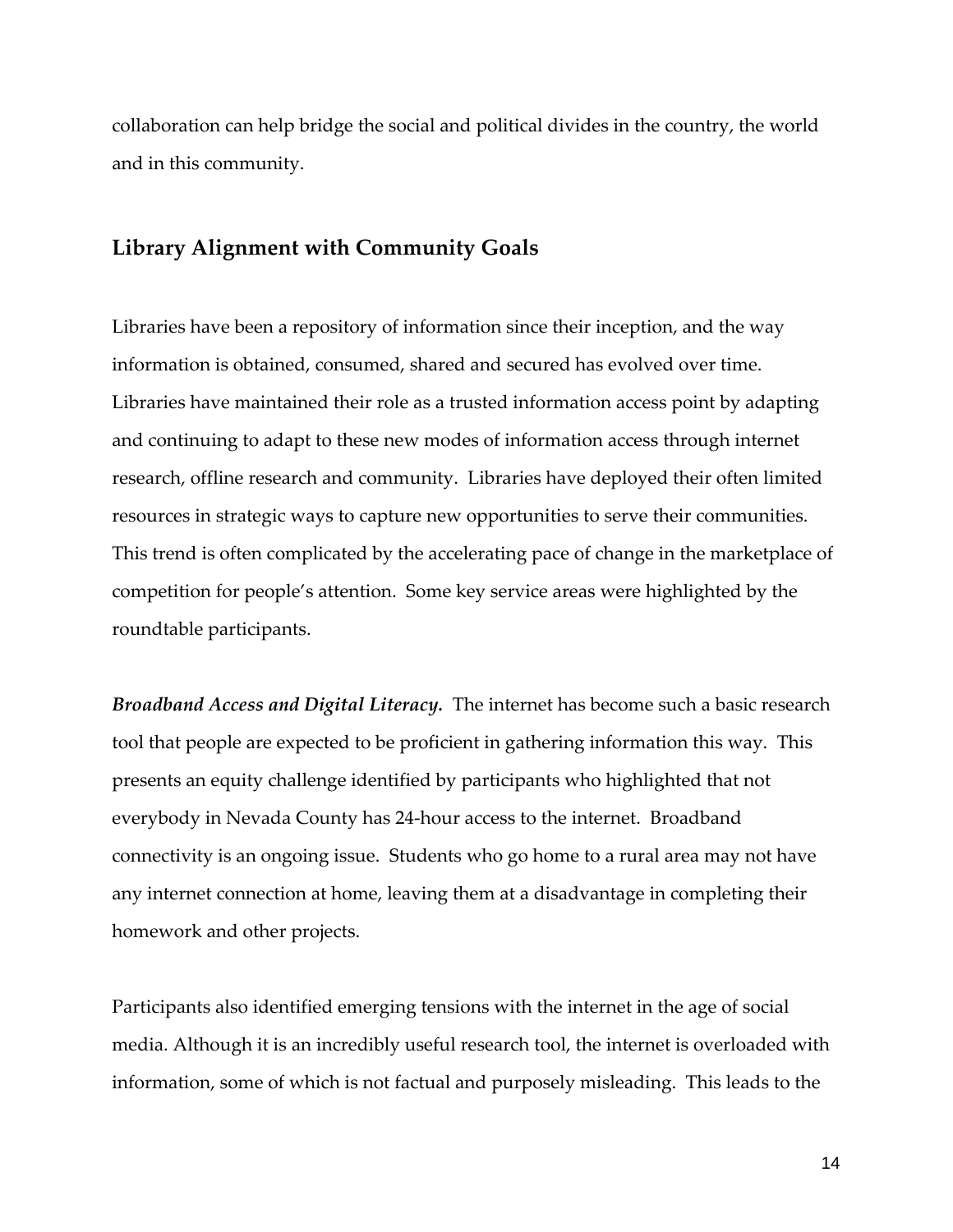collaboration can help bridge the social and political divides in the country, the world and in this community.

#### **Library Alignment with Community Goals**

Libraries have been a repository of information since their inception, and the way information is obtained, consumed, shared and secured has evolved over time. Libraries have maintained their role as a trusted information access point by adapting and continuing to adapt to these new modes of information access through internet research, offline research and community. Libraries have deployed their often limited resources in strategic ways to capture new opportunities to serve their communities. This trend is often complicated by the accelerating pace of change in the marketplace of competition for people's attention. Some key service areas were highlighted by the roundtable participants.

*Broadband Access and Digital Literacy.* The internet has become such a basic research tool that people are expected to be proficient in gathering information this way. This presents an equity challenge identified by participants who highlighted that not everybody in Nevada County has 24-hour access to the internet. Broadband connectivity is an ongoing issue. Students who go home to a rural area may not have any internet connection at home, leaving them at a disadvantage in completing their homework and other projects.

Participants also identified emerging tensions with the internet in the age of social media. Although it is an incredibly useful research tool, the internet is overloaded with information, some of which is not factual and purposely misleading. This leads to the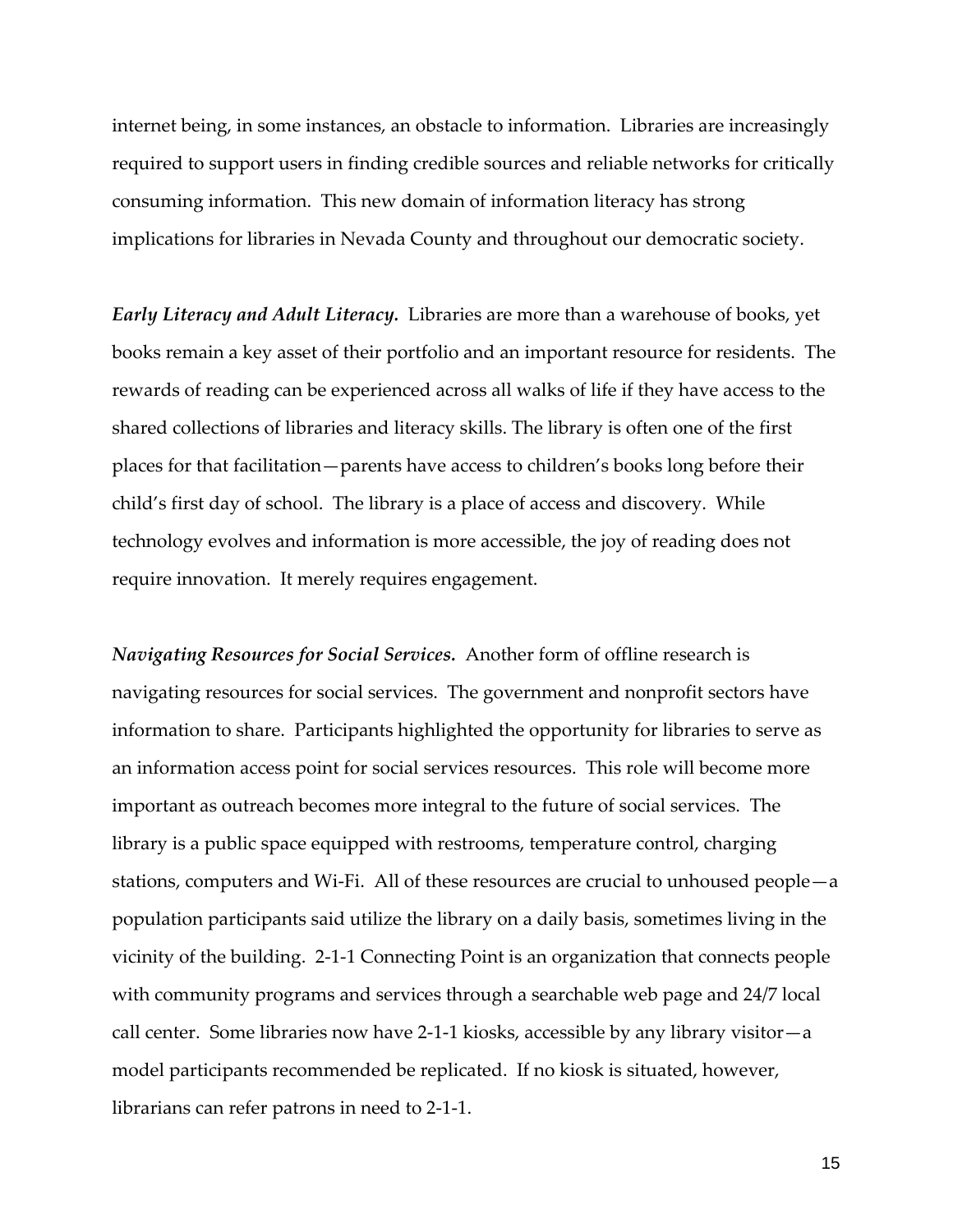internet being, in some instances, an obstacle to information. Libraries are increasingly required to support users in finding credible sources and reliable networks for critically consuming information. This new domain of information literacy has strong implications for libraries in Nevada County and throughout our democratic society.

*Early Literacy and Adult Literacy.* Libraries are more than a warehouse of books, yet books remain a key asset of their portfolio and an important resource for residents. The rewards of reading can be experienced across all walks of life if they have access to the shared collections of libraries and literacy skills. The library is often one of the first places for that facilitation—parents have access to children's books long before their child's first day of school. The library is a place of access and discovery. While technology evolves and information is more accessible, the joy of reading does not require innovation. It merely requires engagement.

*Navigating Resources for Social Services.* Another form of offline research is navigating resources for social services. The government and nonprofit sectors have information to share. Participants highlighted the opportunity for libraries to serve as an information access point for social services resources. This role will become more important as outreach becomes more integral to the future of social services. The library is a public space equipped with restrooms, temperature control, charging stations, computers and Wi-Fi. All of these resources are crucial to unhoused people—a population participants said utilize the library on a daily basis, sometimes living in the vicinity of the building. 2-1-1 Connecting Point is an organization that connects people with community programs and services through a searchable web page and 24/7 local call center. Some libraries now have 2-1-1 kiosks, accessible by any library visitor—a model participants recommended be replicated. If no kiosk is situated, however, librarians can refer patrons in need to 2-1-1.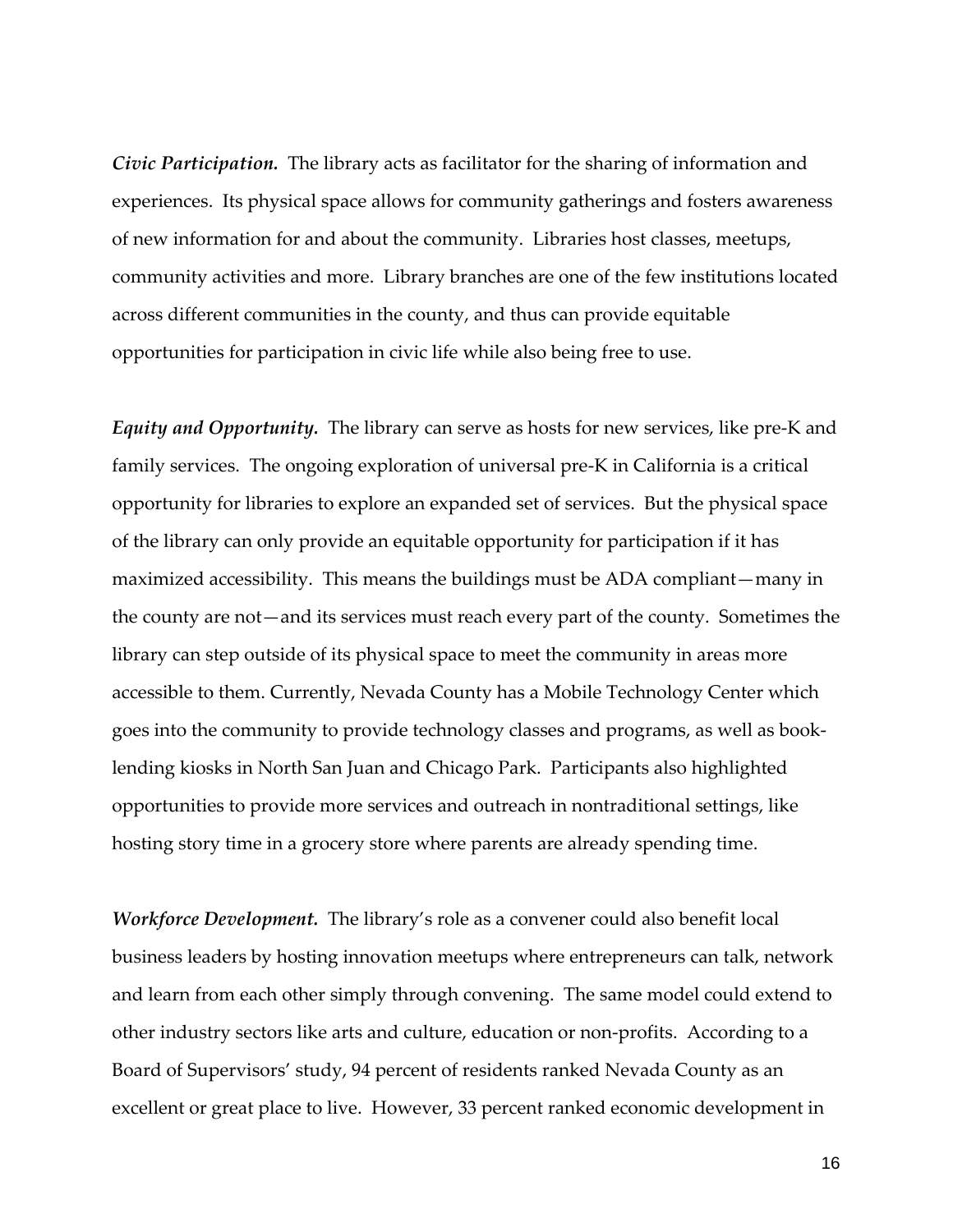*Civic Participation.* The library acts as facilitator for the sharing of information and experiences. Its physical space allows for community gatherings and fosters awareness of new information for and about the community. Libraries host classes, meetups, community activities and more. Library branches are one of the few institutions located across different communities in the county, and thus can provide equitable opportunities for participation in civic life while also being free to use.

*Equity and Opportunity.* The library can serve as hosts for new services, like pre-K and family services. The ongoing exploration of universal pre-K in California is a critical opportunity for libraries to explore an expanded set of services. But the physical space of the library can only provide an equitable opportunity for participation if it has maximized accessibility. This means the buildings must be ADA compliant—many in the county are not—and its services must reach every part of the county. Sometimes the library can step outside of its physical space to meet the community in areas more accessible to them. Currently, Nevada County has a Mobile Technology Center which goes into the community to provide technology classes and programs, as well as booklending kiosks in North San Juan and Chicago Park. Participants also highlighted opportunities to provide more services and outreach in nontraditional settings, like hosting story time in a grocery store where parents are already spending time.

*Workforce Development.* The library's role as a convener could also benefit local business leaders by hosting innovation meetups where entrepreneurs can talk, network and learn from each other simply through convening. The same model could extend to other industry sectors like arts and culture, education or non-profits. According to a Board of Supervisors' study, 94 percent of residents ranked Nevada County as an excellent or great place to live. However, 33 percent ranked economic development in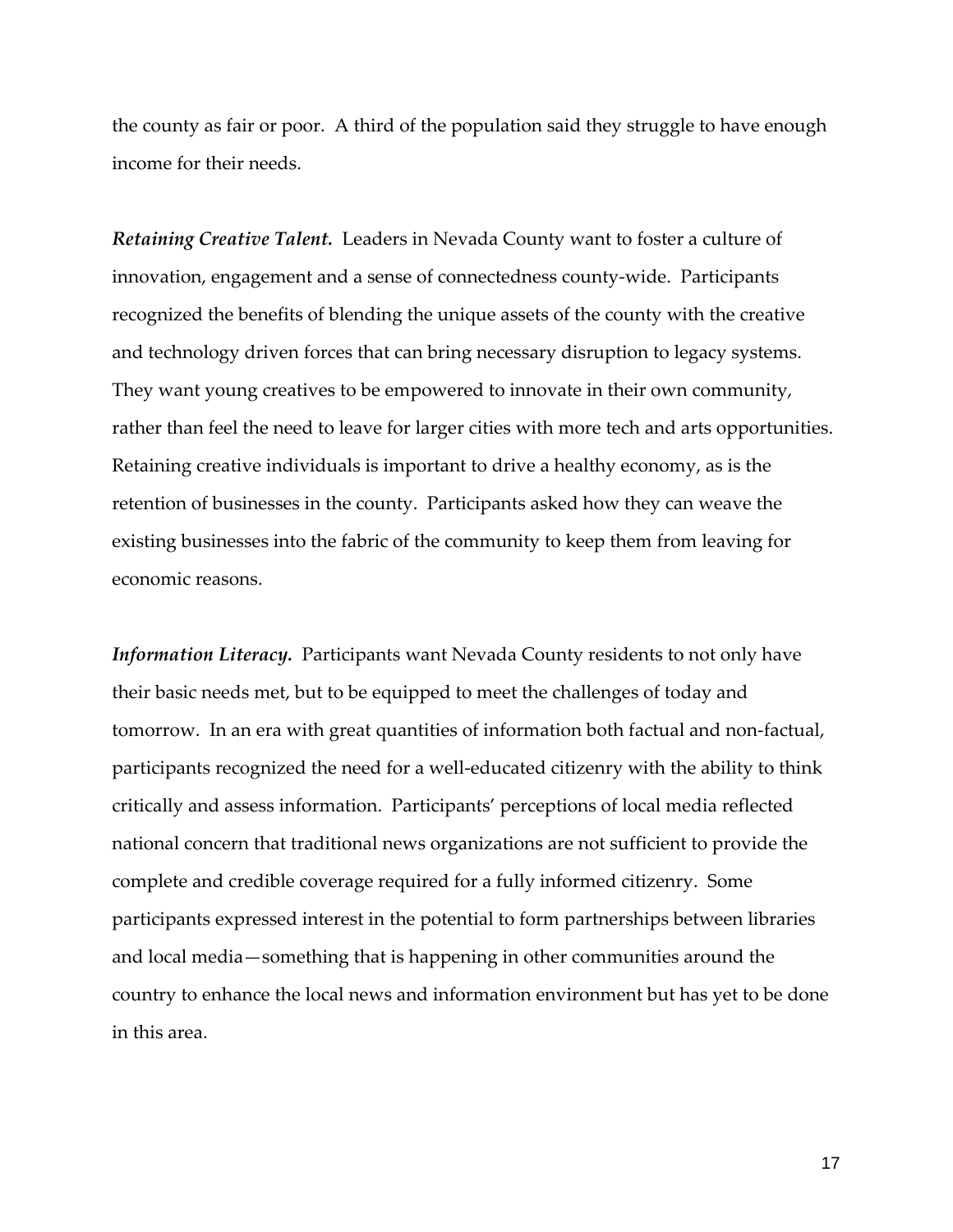the county as fair or poor. A third of the population said they struggle to have enough income for their needs.

*Retaining Creative Talent.* Leaders in Nevada County want to foster a culture of innovation, engagement and a sense of connectedness county-wide. Participants recognized the benefits of blending the unique assets of the county with the creative and technology driven forces that can bring necessary disruption to legacy systems. They want young creatives to be empowered to innovate in their own community, rather than feel the need to leave for larger cities with more tech and arts opportunities. Retaining creative individuals is important to drive a healthy economy, as is the retention of businesses in the county. Participants asked how they can weave the existing businesses into the fabric of the community to keep them from leaving for economic reasons.

*Information Literacy.* Participants want Nevada County residents to not only have their basic needs met, but to be equipped to meet the challenges of today and tomorrow. In an era with great quantities of information both factual and non-factual, participants recognized the need for a well-educated citizenry with the ability to think critically and assess information. Participants' perceptions of local media reflected national concern that traditional news organizations are not sufficient to provide the complete and credible coverage required for a fully informed citizenry. Some participants expressed interest in the potential to form partnerships between libraries and local media—something that is happening in other communities around the country to enhance the local news and information environment but has yet to be done in this area.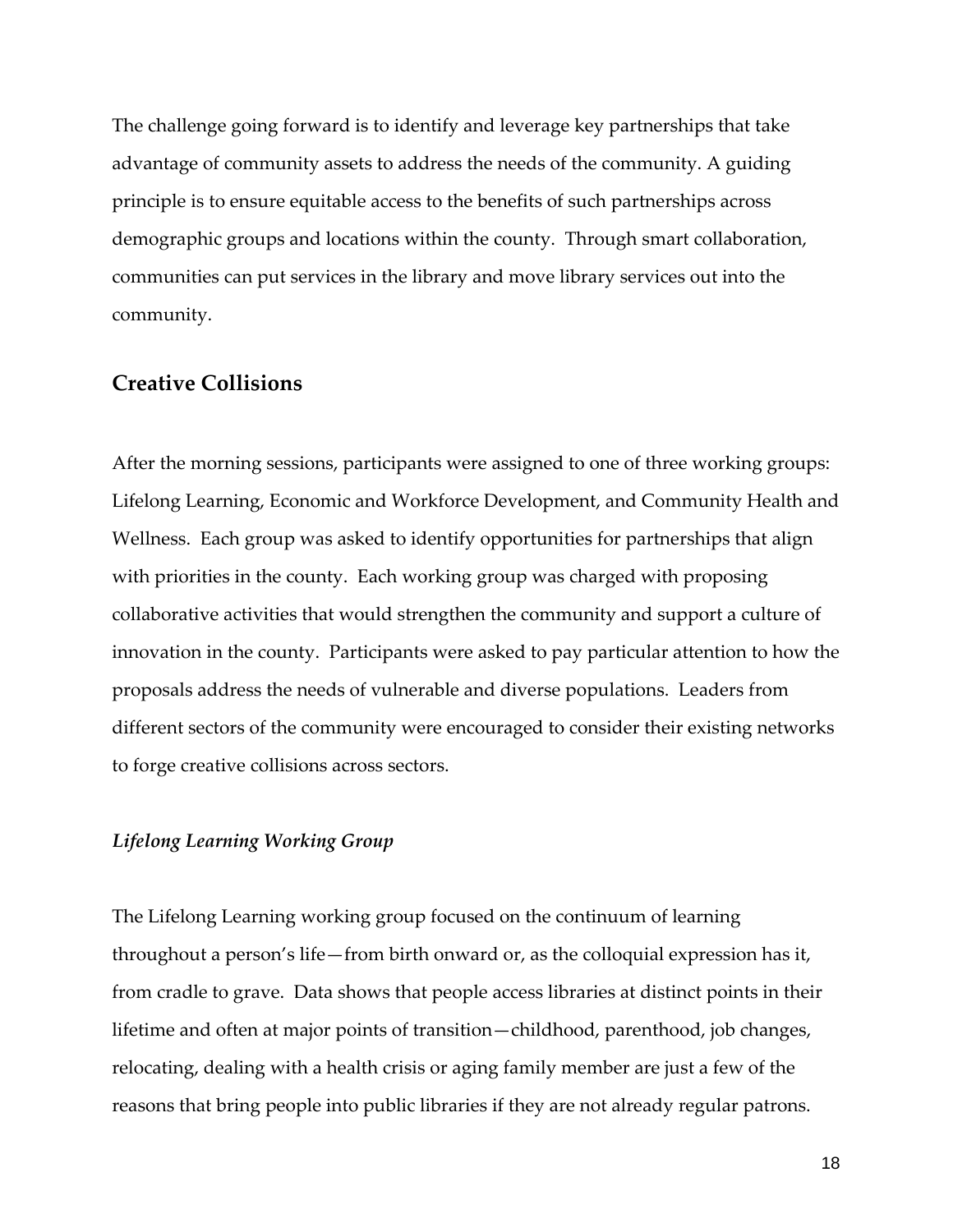The challenge going forward is to identify and leverage key partnerships that take advantage of community assets to address the needs of the community. A guiding principle is to ensure equitable access to the benefits of such partnerships across demographic groups and locations within the county. Through smart collaboration, communities can put services in the library and move library services out into the community.

#### **Creative Collisions**

After the morning sessions, participants were assigned to one of three working groups: Lifelong Learning, Economic and Workforce Development, and Community Health and Wellness. Each group was asked to identify opportunities for partnerships that align with priorities in the county. Each working group was charged with proposing collaborative activities that would strengthen the community and support a culture of innovation in the county. Participants were asked to pay particular attention to how the proposals address the needs of vulnerable and diverse populations. Leaders from different sectors of the community were encouraged to consider their existing networks to forge creative collisions across sectors.

#### *Lifelong Learning Working Group*

The Lifelong Learning working group focused on the continuum of learning throughout a person's life—from birth onward or, as the colloquial expression has it, from cradle to grave. Data shows that people access libraries at distinct points in their lifetime and often at major points of transition—childhood, parenthood, job changes, relocating, dealing with a health crisis or aging family member are just a few of the reasons that bring people into public libraries if they are not already regular patrons.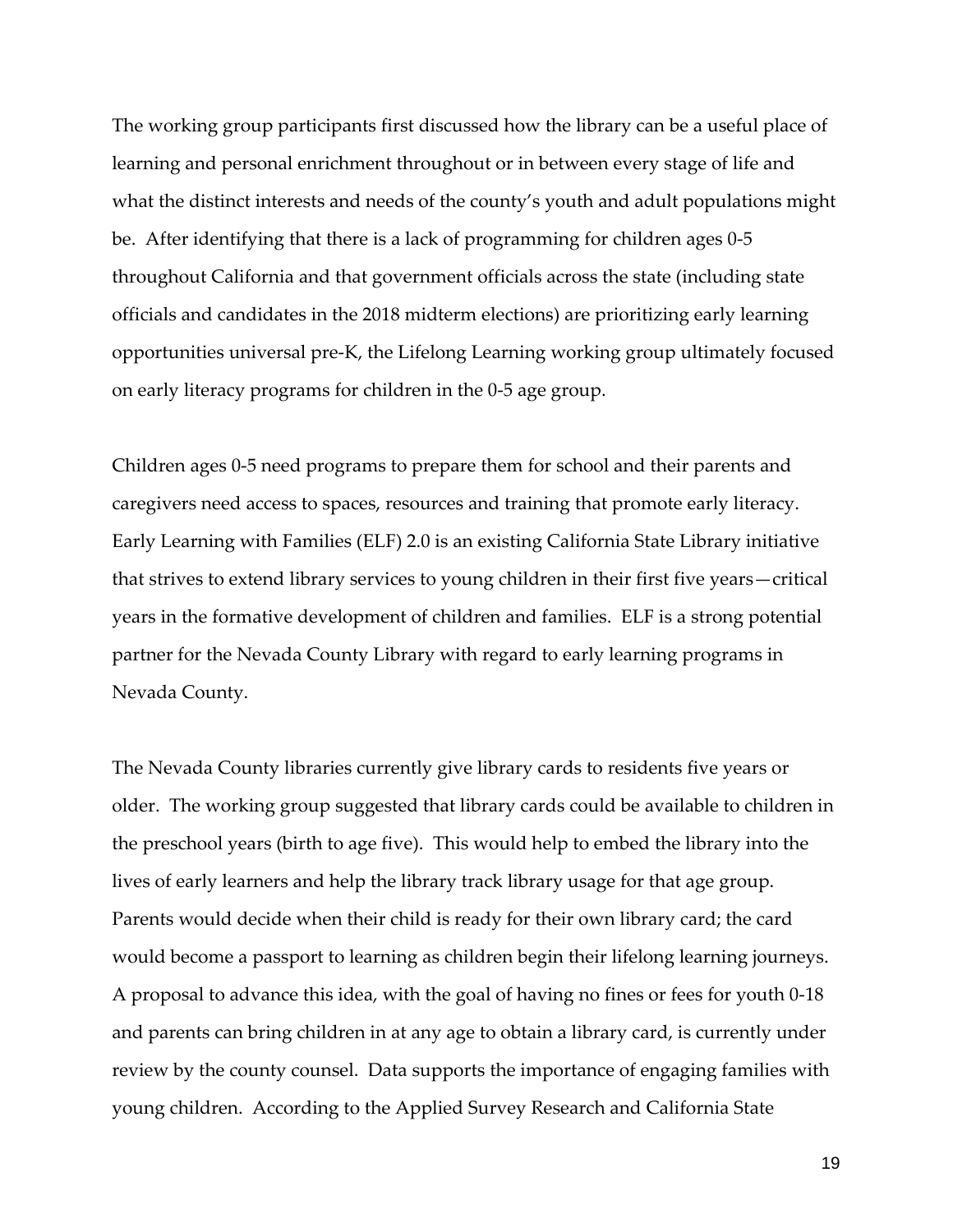The working group participants first discussed how the library can be a useful place of learning and personal enrichment throughout or in between every stage of life and what the distinct interests and needs of the county's youth and adult populations might be. After identifying that there is a lack of programming for children ages 0-5 throughout California and that government officials across the state (including state officials and candidates in the 2018 midterm elections) are prioritizing early learning opportunities universal pre-K, the Lifelong Learning working group ultimately focused on early literacy programs for children in the 0-5 age group.

Children ages 0-5 need programs to prepare them for school and their parents and caregivers need access to spaces, resources and training that promote early literacy. Early Learning with Families (ELF) 2.0 is an existing California State Library initiative that strives to extend library services to young children in their first five years—critical years in the formative development of children and families. ELF is a strong potential partner for the Nevada County Library with regard to early learning programs in Nevada County.

The Nevada County libraries currently give library cards to residents five years or older. The working group suggested that library cards could be available to children in the preschool years (birth to age five). This would help to embed the library into the lives of early learners and help the library track library usage for that age group. Parents would decide when their child is ready for their own library card; the card would become a passport to learning as children begin their lifelong learning journeys. A proposal to advance this idea, with the goal of having no fines or fees for youth 0-18 and parents can bring children in at any age to obtain a library card, is currently under review by the county counsel. Data supports the importance of engaging families with young children. According to the Applied Survey Research and California State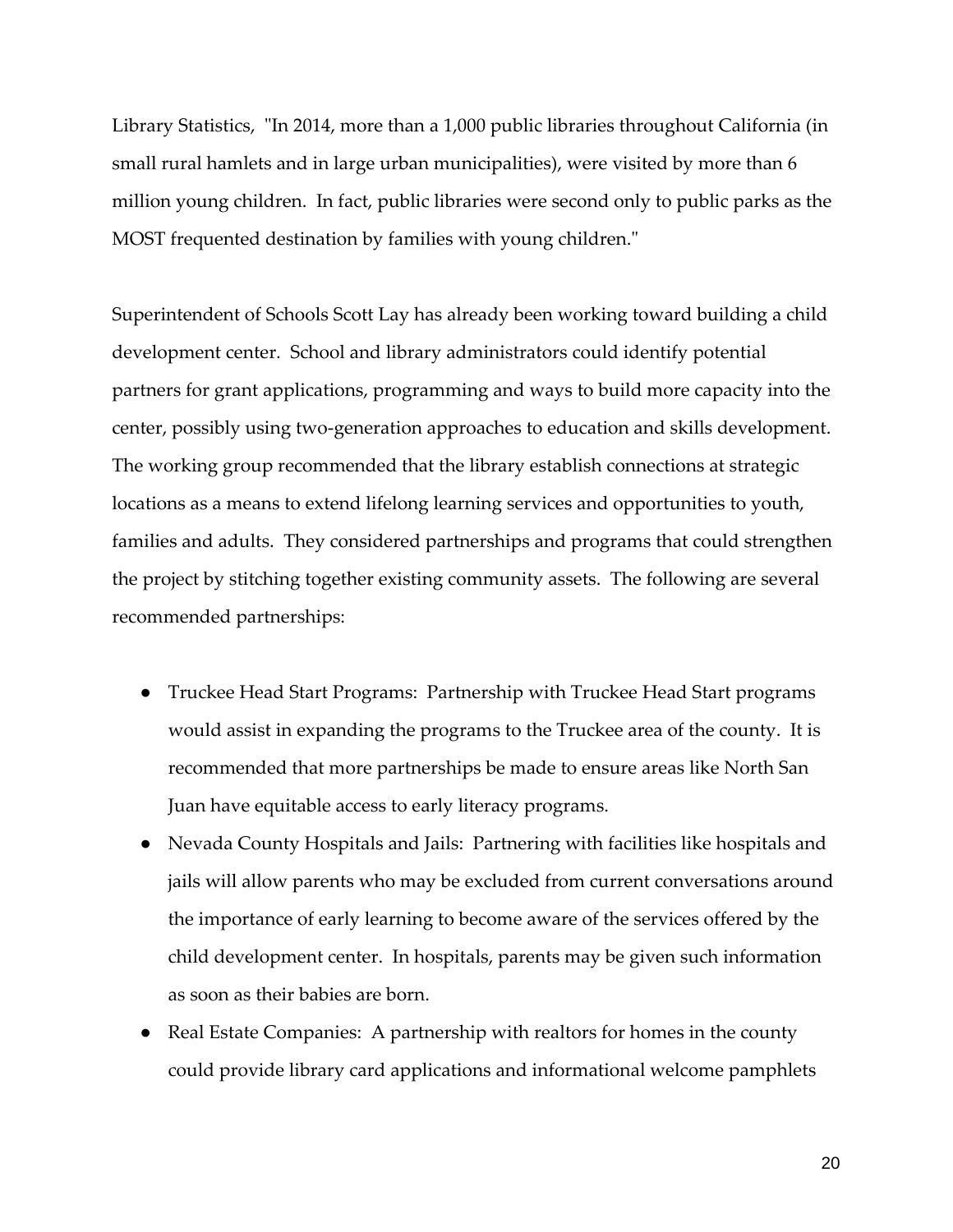Library Statistics, "In 2014, more than a 1,000 public libraries throughout California (in small rural hamlets and in large urban municipalities), were visited by more than 6 million young children. In fact, public libraries were second only to public parks as the MOST frequented destination by families with young children."

Superintendent of Schools Scott Lay has already been working toward building a child development center. School and library administrators could identify potential partners for grant applications, programming and ways to build more capacity into the center, possibly using two-generation approaches to education and skills development. The working group recommended that the library establish connections at strategic locations as a means to extend lifelong learning services and opportunities to youth, families and adults. They considered partnerships and programs that could strengthen the project by stitching together existing community assets. The following are several recommended partnerships:

- Truckee Head Start Programs: Partnership with Truckee Head Start programs would assist in expanding the programs to the Truckee area of the county. It is recommended that more partnerships be made to ensure areas like North San Juan have equitable access to early literacy programs.
- Nevada County Hospitals and Jails: Partnering with facilities like hospitals and jails will allow parents who may be excluded from current conversations around the importance of early learning to become aware of the services offered by the child development center. In hospitals, parents may be given such information as soon as their babies are born.
- Real Estate Companies: A partnership with realtors for homes in the county could provide library card applications and informational welcome pamphlets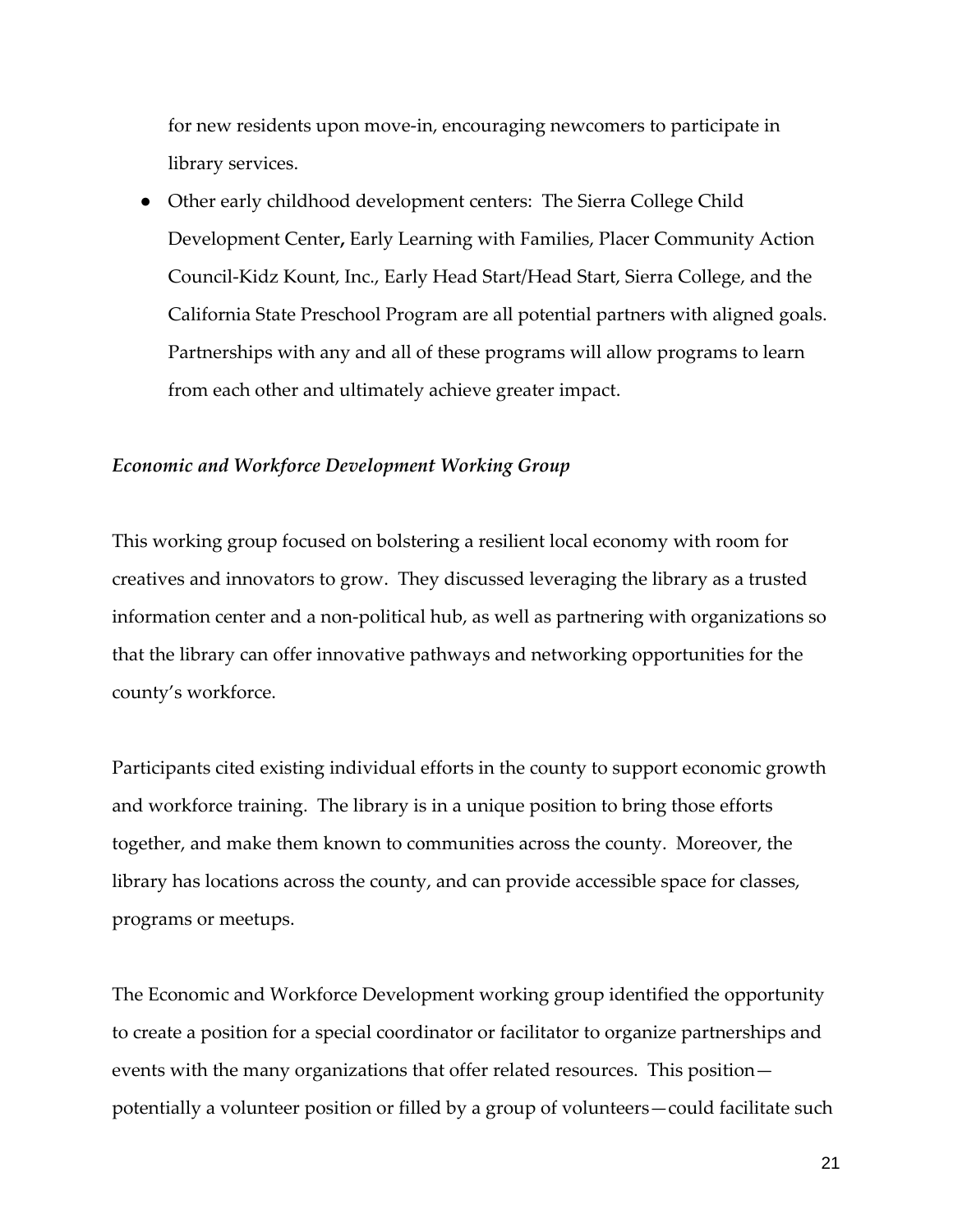for new residents upon move-in, encouraging newcomers to participate in library services.

• Other early childhood development centers: The Sierra College Child Development Center**,** Early Learning with Families, Placer Community Action Council-Kidz Kount, Inc., Early Head Start/Head Start, Sierra College, and the California State Preschool Program are all potential partners with aligned goals. Partnerships with any and all of these programs will allow programs to learn from each other and ultimately achieve greater impact.

#### *Economic and Workforce Development Working Group*

This working group focused on bolstering a resilient local economy with room for creatives and innovators to grow. They discussed leveraging the library as a trusted information center and a non-political hub, as well as partnering with organizations so that the library can offer innovative pathways and networking opportunities for the county's workforce.

Participants cited existing individual efforts in the county to support economic growth and workforce training. The library is in a unique position to bring those efforts together, and make them known to communities across the county. Moreover, the library has locations across the county, and can provide accessible space for classes, programs or meetups.

The Economic and Workforce Development working group identified the opportunity to create a position for a special coordinator or facilitator to organize partnerships and events with the many organizations that offer related resources. This position potentially a volunteer position or filled by a group of volunteers—could facilitate such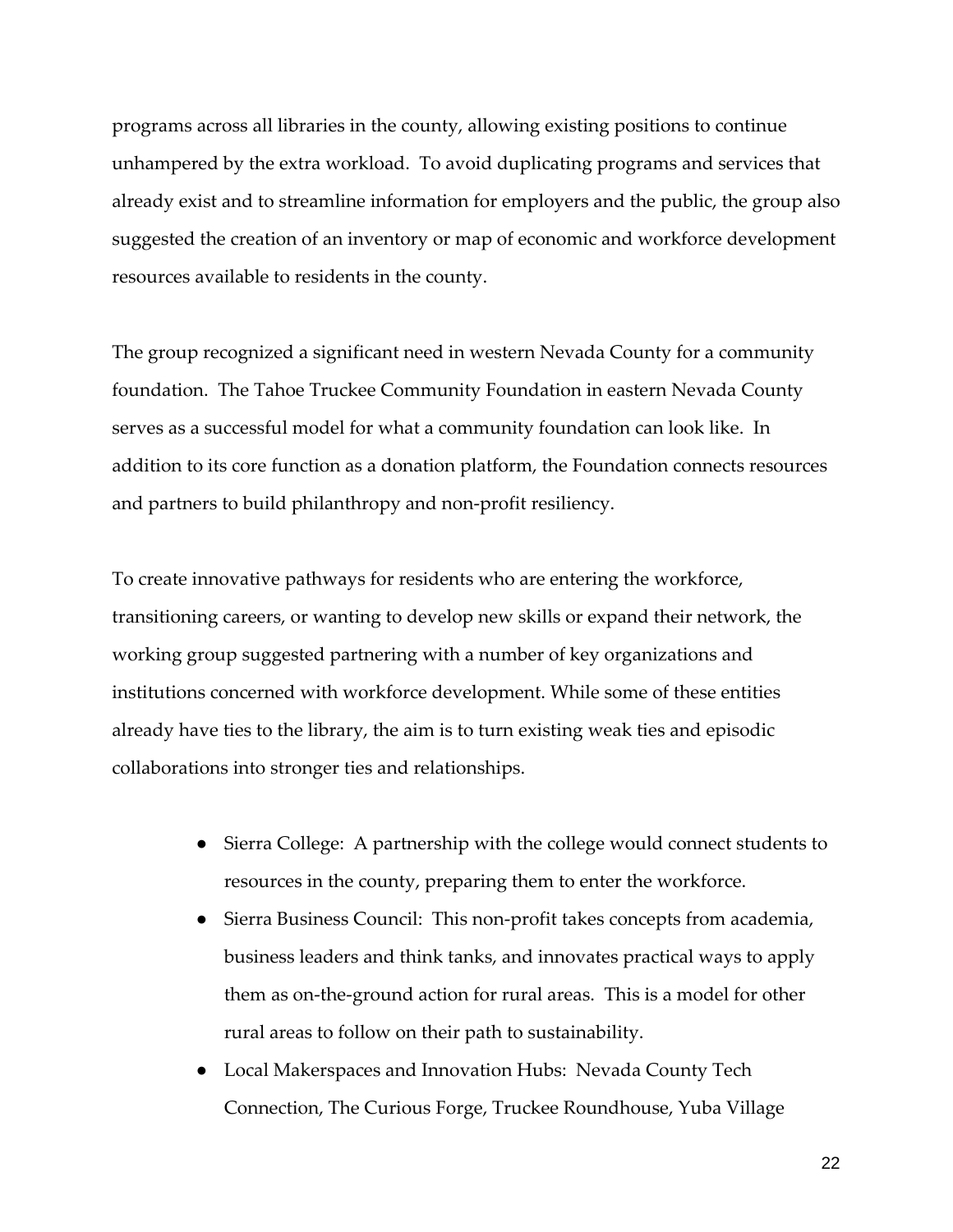programs across all libraries in the county, allowing existing positions to continue unhampered by the extra workload. To avoid duplicating programs and services that already exist and to streamline information for employers and the public, the group also suggested the creation of an inventory or map of economic and workforce development resources available to residents in the county.

The group recognized a significant need in western Nevada County for a community foundation. The Tahoe Truckee Community Foundation in eastern Nevada County serves as a successful model for what a community foundation can look like. In addition to its core function as a donation platform, the Foundation connects resources and partners to build philanthropy and non-profit resiliency.

To create innovative pathways for residents who are entering the workforce, transitioning careers, or wanting to develop new skills or expand their network, the working group suggested partnering with a number of key organizations and institutions concerned with workforce development. While some of these entities already have ties to the library, the aim is to turn existing weak ties and episodic collaborations into stronger ties and relationships.

- Sierra College: A partnership with the college would connect students to resources in the county, preparing them to enter the workforce.
- Sierra Business Council: This non-profit takes concepts from academia, business leaders and think tanks, and innovates practical ways to apply them as on-the-ground action for rural areas. This is a model for other rural areas to follow on their path to sustainability.
- Local Makerspaces and Innovation Hubs: Nevada County Tech Connection, The Curious Forge, Truckee Roundhouse, Yuba Village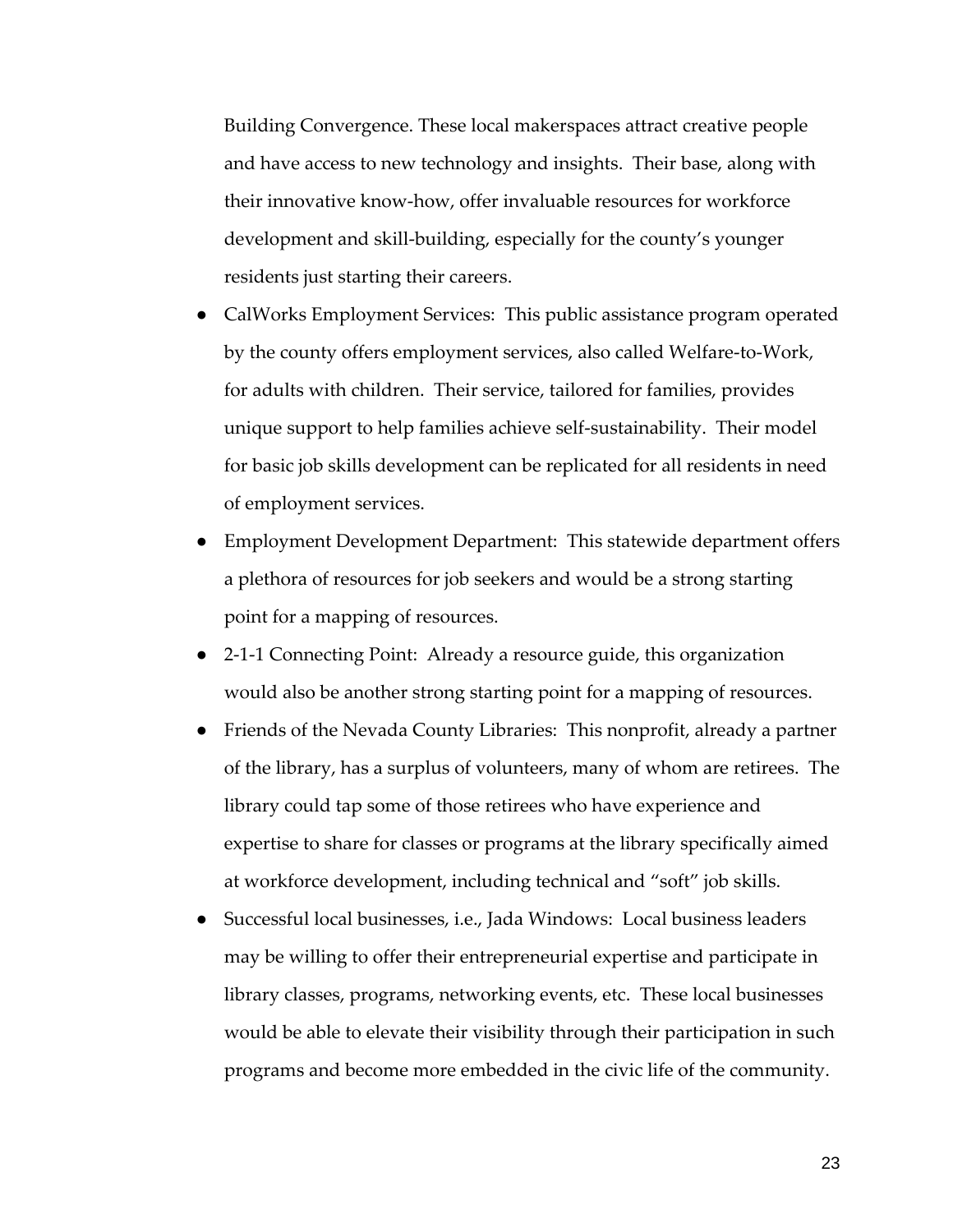Building Convergence. These local makerspaces attract creative people and have access to new technology and insights. Their base, along with their innovative know-how, offer invaluable resources for workforce development and skill-building, especially for the county's younger residents just starting their careers.

- CalWorks Employment Services: This public assistance program operated by the county offers employment services, also called Welfare-to-Work, for adults with children. Their service, tailored for families, provides unique support to help families achieve self-sustainability. Their model for basic job skills development can be replicated for all residents in need of employment services.
- Employment Development Department: This statewide department offers a plethora of resources for job seekers and would be a strong starting point for a mapping of resources.
- 2-1-1 Connecting Point: Already a resource guide, this organization would also be another strong starting point for a mapping of resources.
- Friends of the Nevada County Libraries: This nonprofit, already a partner of the library, has a surplus of volunteers, many of whom are retirees. The library could tap some of those retirees who have experience and expertise to share for classes or programs at the library specifically aimed at workforce development, including technical and "soft" job skills.
- Successful local businesses, i.e., Jada Windows: Local business leaders may be willing to offer their entrepreneurial expertise and participate in library classes, programs, networking events, etc. These local businesses would be able to elevate their visibility through their participation in such programs and become more embedded in the civic life of the community.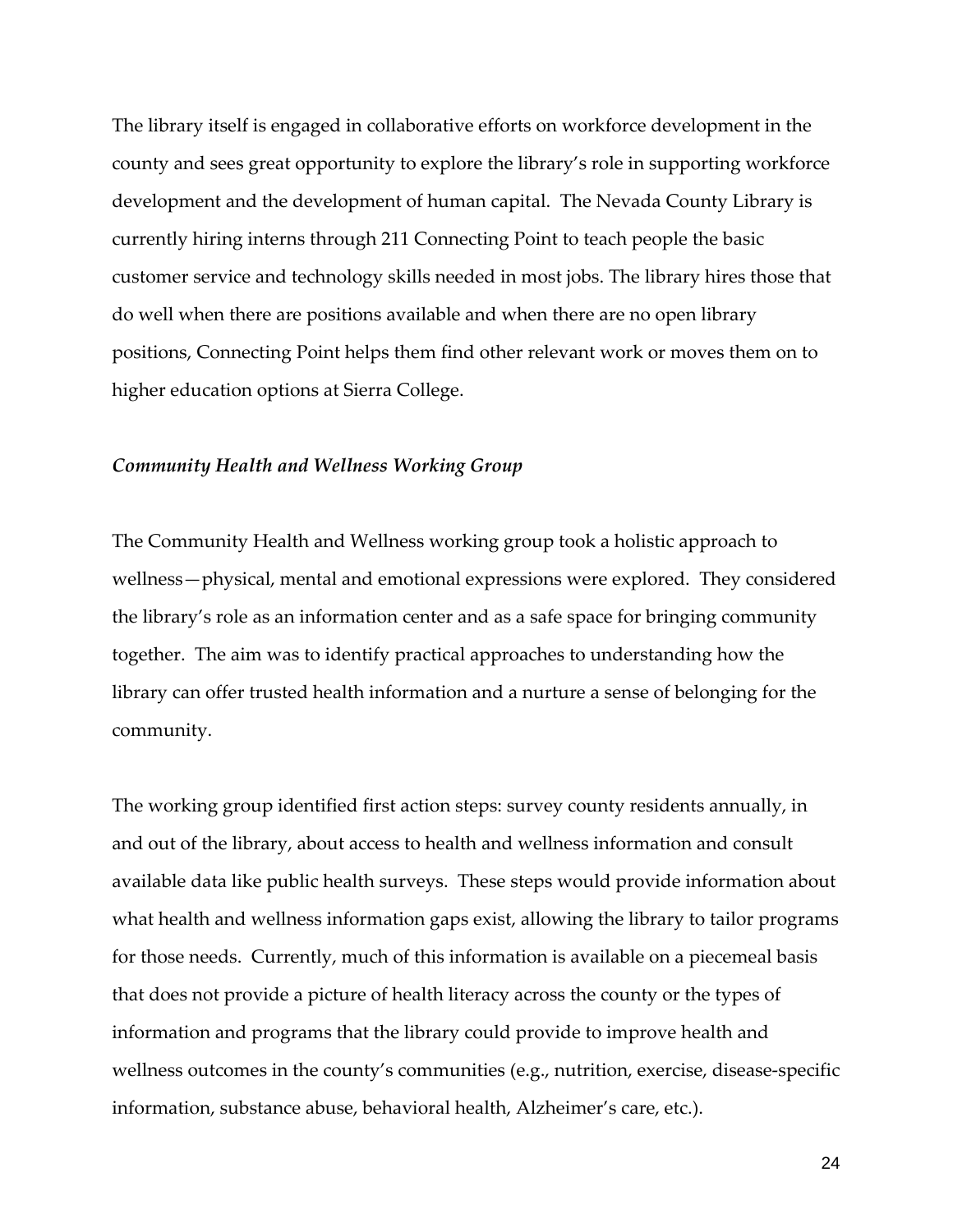The library itself is engaged in collaborative efforts on workforce development in the county and sees great opportunity to explore the library's role in supporting workforce development and the development of human capital. The Nevada County Library is currently hiring interns through 211 Connecting Point to teach people the basic customer service and technology skills needed in most jobs. The library hires those that do well when there are positions available and when there are no open library positions, Connecting Point helps them find other relevant work or moves them on to higher education options at Sierra College.

#### *Community Health and Wellness Working Group*

The Community Health and Wellness working group took a holistic approach to wellness—physical, mental and emotional expressions were explored. They considered the library's role as an information center and as a safe space for bringing community together. The aim was to identify practical approaches to understanding how the library can offer trusted health information and a nurture a sense of belonging for the community.

The working group identified first action steps: survey county residents annually, in and out of the library, about access to health and wellness information and consult available data like public health surveys. These steps would provide information about what health and wellness information gaps exist, allowing the library to tailor programs for those needs. Currently, much of this information is available on a piecemeal basis that does not provide a picture of health literacy across the county or the types of information and programs that the library could provide to improve health and wellness outcomes in the county's communities (e.g., nutrition, exercise, disease-specific information, substance abuse, behavioral health, Alzheimer's care, etc.).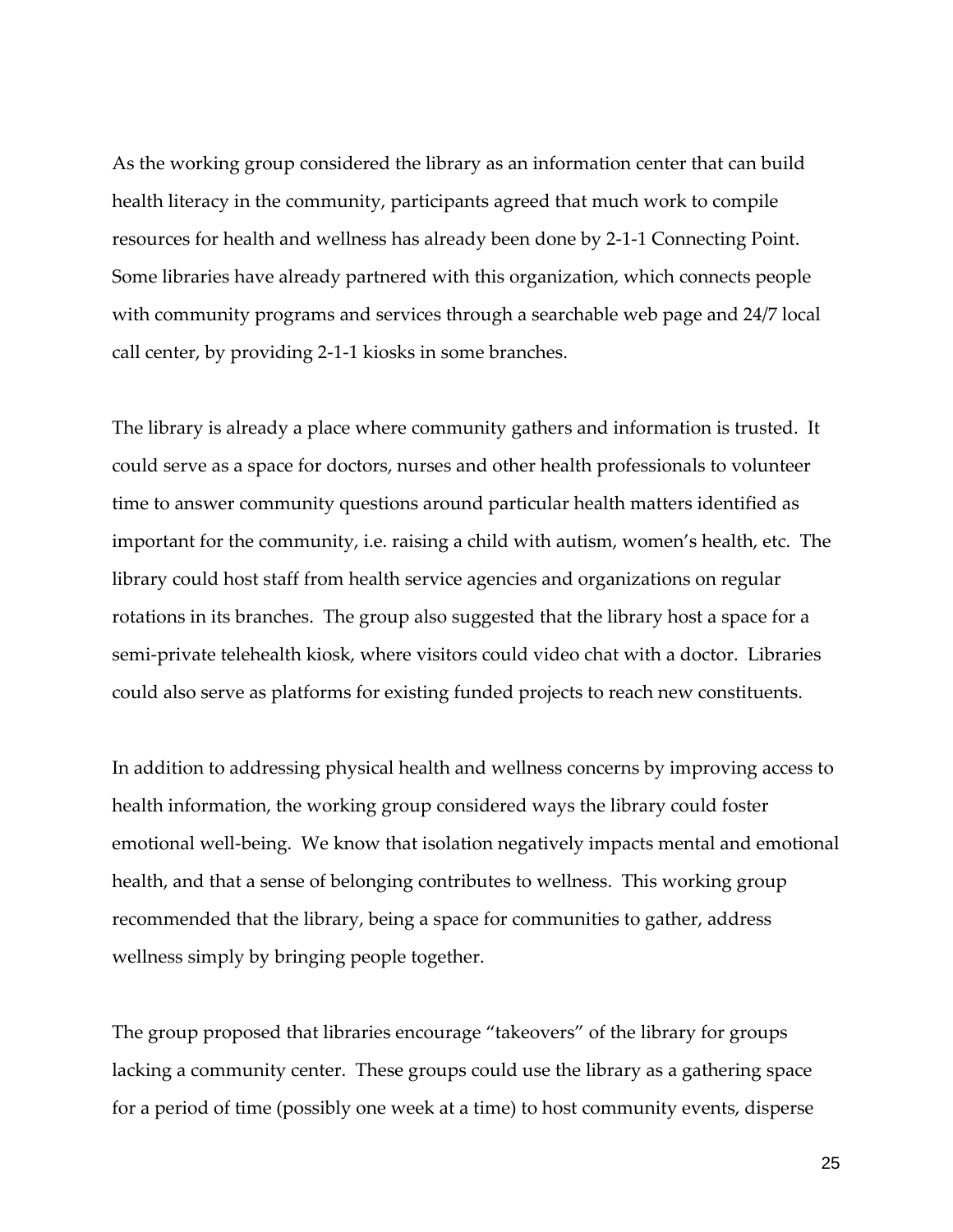As the working group considered the library as an information center that can build health literacy in the community, participants agreed that much work to compile resources for health and wellness has already been done by 2-1-1 Connecting Point. Some libraries have already partnered with this organization, which connects people with community programs and services through a searchable web page and 24/7 local call center, by providing 2-1-1 kiosks in some branches.

The library is already a place where community gathers and information is trusted. It could serve as a space for doctors, nurses and other health professionals to volunteer time to answer community questions around particular health matters identified as important for the community, i.e. raising a child with autism, women's health, etc. The library could host staff from health service agencies and organizations on regular rotations in its branches. The group also suggested that the library host a space for a semi-private telehealth kiosk, where visitors could video chat with a doctor. Libraries could also serve as platforms for existing funded projects to reach new constituents.

In addition to addressing physical health and wellness concerns by improving access to health information, the working group considered ways the library could foster emotional well-being. We know that isolation negatively impacts mental and emotional health, and that a sense of belonging contributes to wellness. This working group recommended that the library, being a space for communities to gather, address wellness simply by bringing people together.

The group proposed that libraries encourage "takeovers" of the library for groups lacking a community center. These groups could use the library as a gathering space for a period of time (possibly one week at a time) to host community events, disperse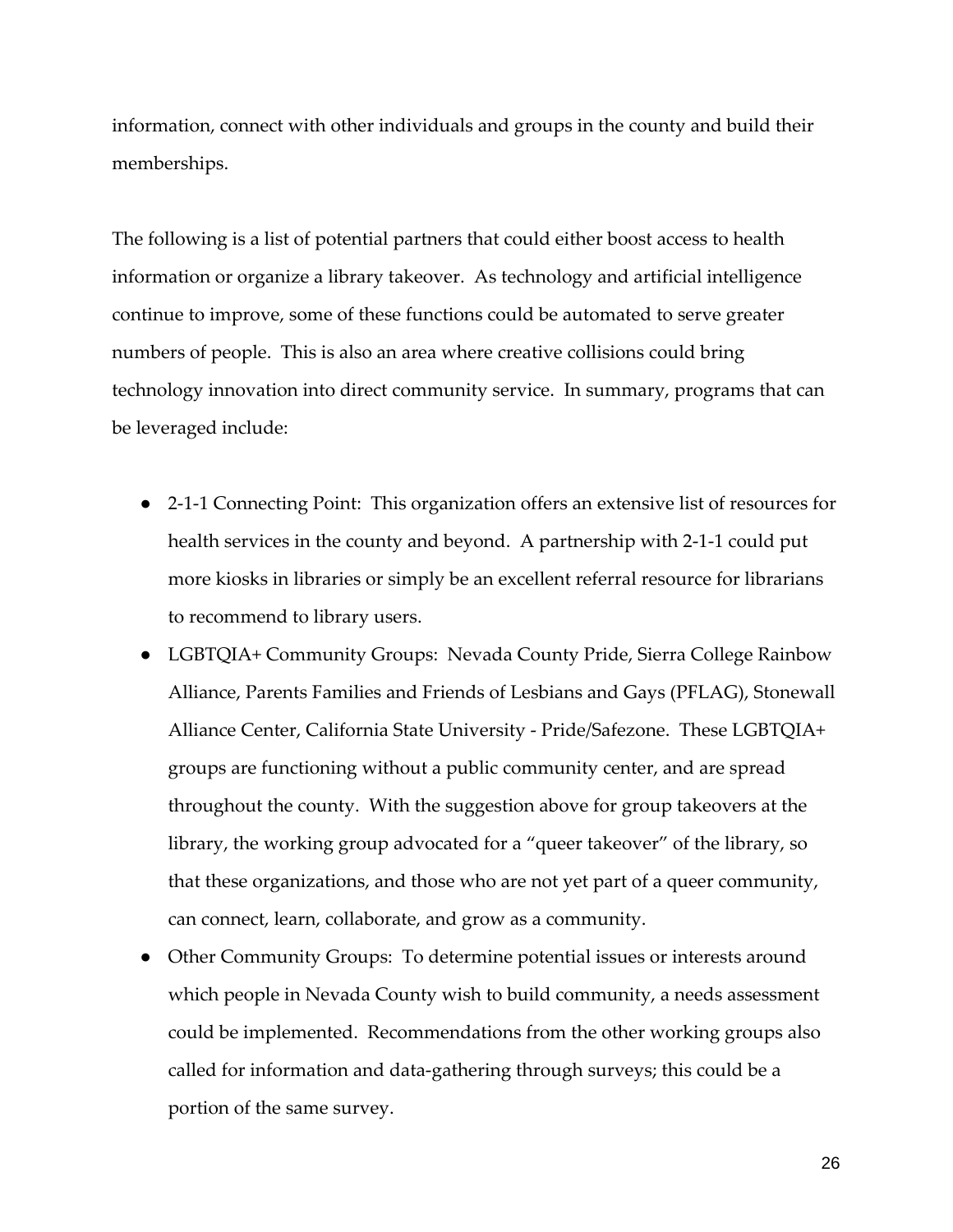information, connect with other individuals and groups in the county and build their memberships.

The following is a list of potential partners that could either boost access to health information or organize a library takeover. As technology and artificial intelligence continue to improve, some of these functions could be automated to serve greater numbers of people. This is also an area where creative collisions could bring technology innovation into direct community service. In summary, programs that can be leveraged include:

- 2-1-1 Connecting Point: This organization offers an extensive list of resources for health services in the county and beyond. A partnership with 2-1-1 could put more kiosks in libraries or simply be an excellent referral resource for librarians to recommend to library users.
- LGBTQIA+ Community Groups: Nevada County Pride, Sierra College Rainbow Alliance, Parents Families and Friends of Lesbians and Gays (PFLAG), Stonewall Alliance Center, California State University - Pride/Safezone. These LGBTQIA+ groups are functioning without a public community center, and are spread throughout the county. With the suggestion above for group takeovers at the library, the working group advocated for a "queer takeover" of the library, so that these organizations, and those who are not yet part of a queer community, can connect, learn, collaborate, and grow as a community.
- Other Community Groups: To determine potential issues or interests around which people in Nevada County wish to build community, a needs assessment could be implemented. Recommendations from the other working groups also called for information and data-gathering through surveys; this could be a portion of the same survey.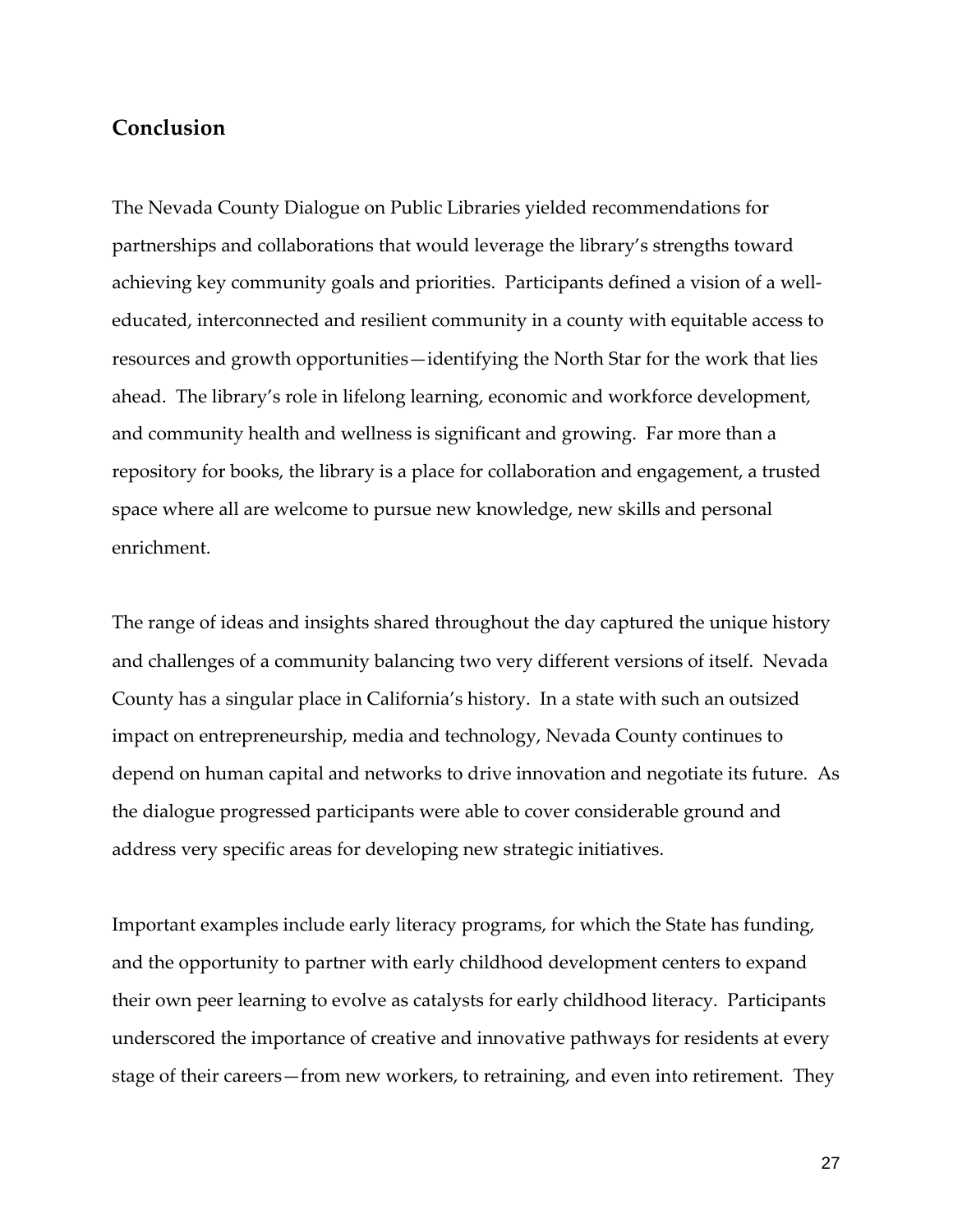#### **Conclusion**

The Nevada County Dialogue on Public Libraries yielded recommendations for partnerships and collaborations that would leverage the library's strengths toward achieving key community goals and priorities. Participants defined a vision of a welleducated, interconnected and resilient community in a county with equitable access to resources and growth opportunities—identifying the North Star for the work that lies ahead. The library's role in lifelong learning, economic and workforce development, and community health and wellness is significant and growing. Far more than a repository for books, the library is a place for collaboration and engagement, a trusted space where all are welcome to pursue new knowledge, new skills and personal enrichment.

The range of ideas and insights shared throughout the day captured the unique history and challenges of a community balancing two very different versions of itself. Nevada County has a singular place in California's history. In a state with such an outsized impact on entrepreneurship, media and technology, Nevada County continues to depend on human capital and networks to drive innovation and negotiate its future. As the dialogue progressed participants were able to cover considerable ground and address very specific areas for developing new strategic initiatives.

Important examples include early literacy programs, for which the State has funding, and the opportunity to partner with early childhood development centers to expand their own peer learning to evolve as catalysts for early childhood literacy. Participants underscored the importance of creative and innovative pathways for residents at every stage of their careers—from new workers, to retraining, and even into retirement. They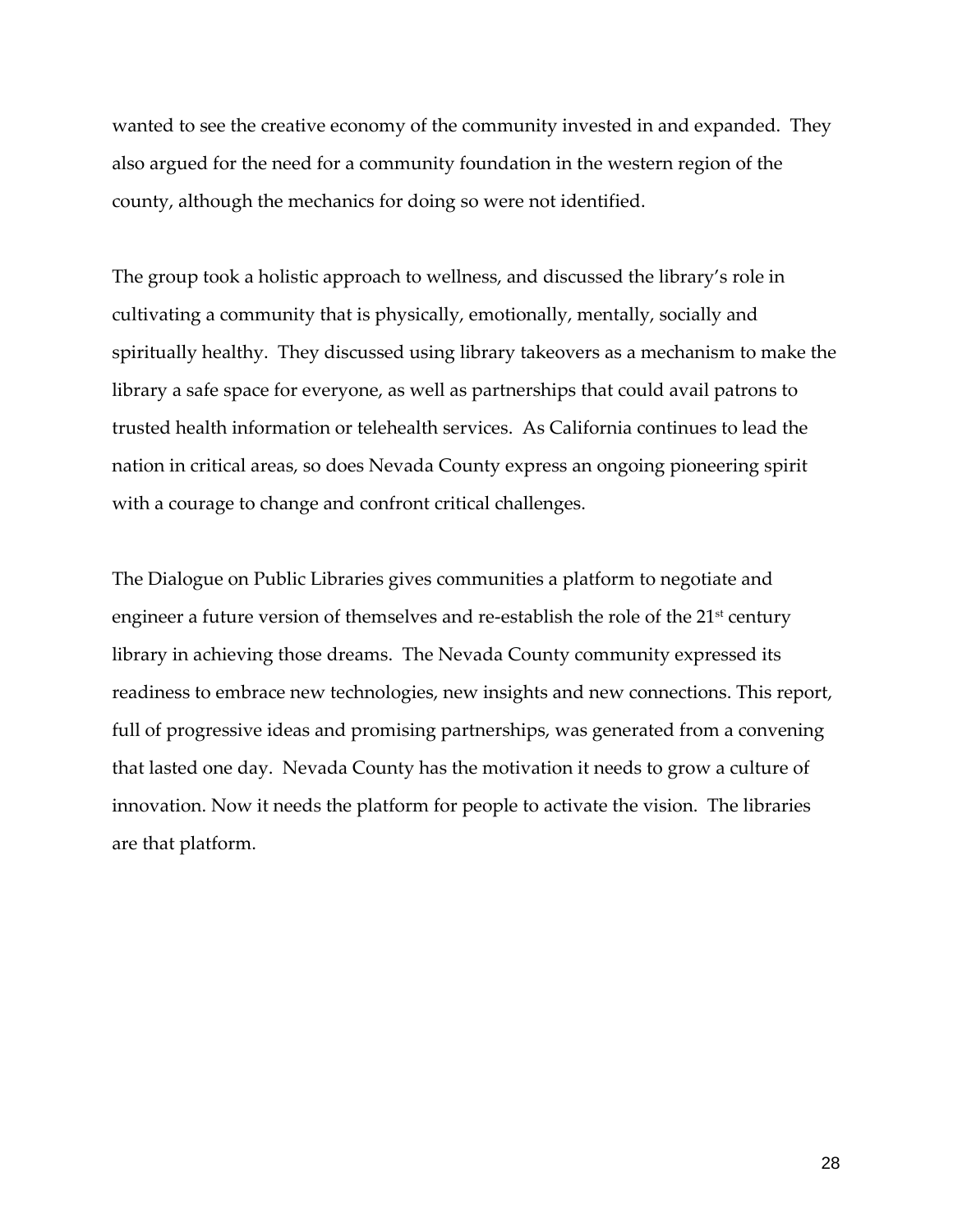wanted to see the creative economy of the community invested in and expanded. They also argued for the need for a community foundation in the western region of the county, although the mechanics for doing so were not identified.

The group took a holistic approach to wellness, and discussed the library's role in cultivating a community that is physically, emotionally, mentally, socially and spiritually healthy. They discussed using library takeovers as a mechanism to make the library a safe space for everyone, as well as partnerships that could avail patrons to trusted health information or telehealth services. As California continues to lead the nation in critical areas, so does Nevada County express an ongoing pioneering spirit with a courage to change and confront critical challenges.

The Dialogue on Public Libraries gives communities a platform to negotiate and engineer a future version of themselves and re-establish the role of the  $21<sup>st</sup>$  century library in achieving those dreams. The Nevada County community expressed its readiness to embrace new technologies, new insights and new connections. This report, full of progressive ideas and promising partnerships, was generated from a convening that lasted one day. Nevada County has the motivation it needs to grow a culture of innovation. Now it needs the platform for people to activate the vision. The libraries are that platform.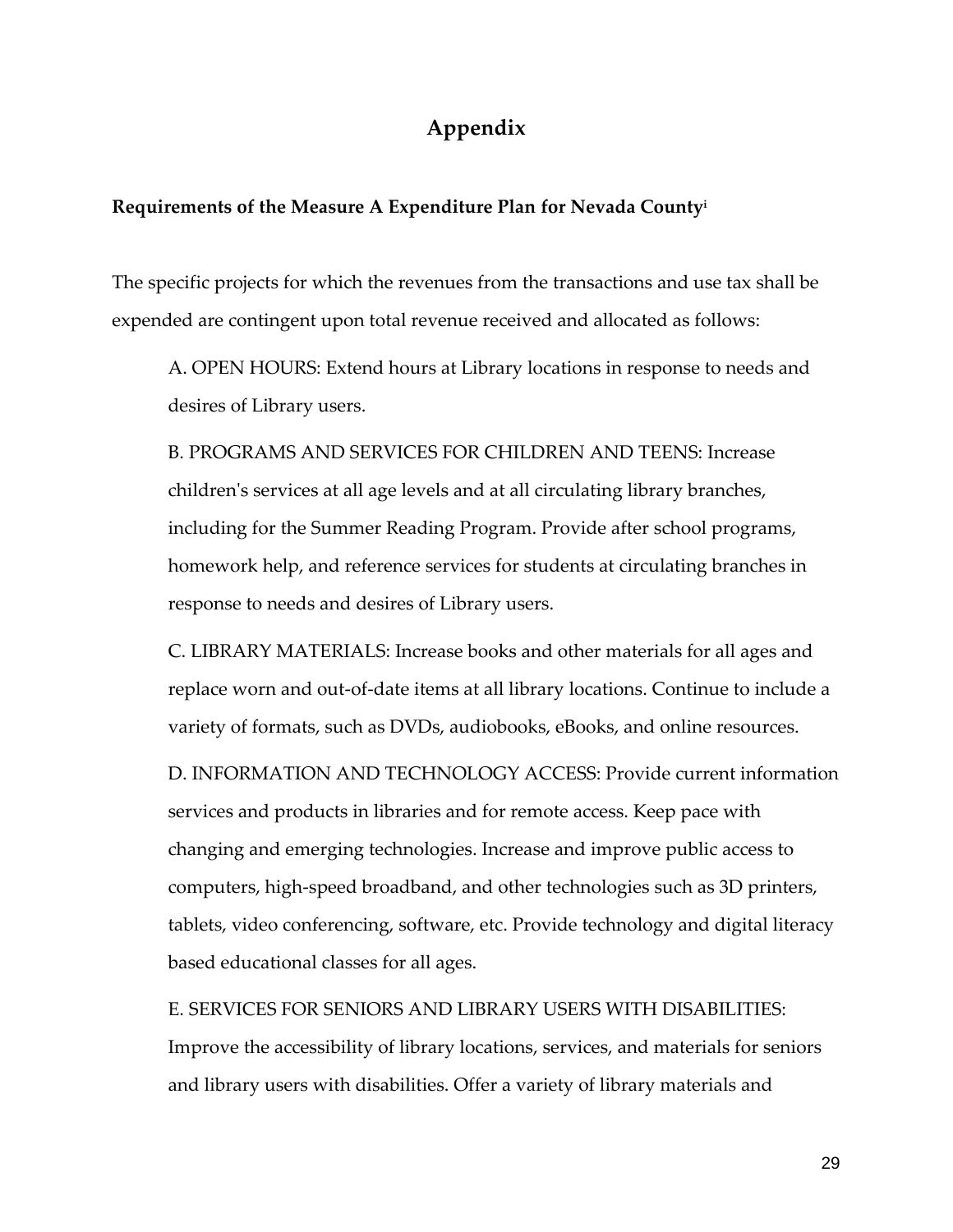## **Appendix**

#### **Requirements of the Measure A Expenditure Plan for Nevada County<sup>i</sup>**

The specific projects for which the revenues from the transactions and use tax shall be expended are contingent upon total revenue received and allocated as follows:

A. OPEN HOURS: Extend hours at Library locations in response to needs and desires of Library users.

B. PROGRAMS AND SERVICES FOR CHILDREN AND TEENS: Increase children's services at all age levels and at all circulating library branches, including for the Summer Reading Program. Provide after school programs, homework help, and reference services for students at circulating branches in response to needs and desires of Library users.

C. LIBRARY MATERIALS: Increase books and other materials for all ages and replace worn and out-of-date items at all library locations. Continue to include a variety of formats, such as DVDs, audiobooks, eBooks, and online resources.

D. INFORMATION AND TECHNOLOGY ACCESS: Provide current information services and products in libraries and for remote access. Keep pace with changing and emerging technologies. Increase and improve public access to computers, high-speed broadband, and other technologies such as 3D printers, tablets, video conferencing, software, etc. Provide technology and digital literacy based educational classes for all ages.

E. SERVICES FOR SENIORS AND LIBRARY USERS WITH DISABILITIES: Improve the accessibility of library locations, services, and materials for seniors and library users with disabilities. Offer a variety of library materials and